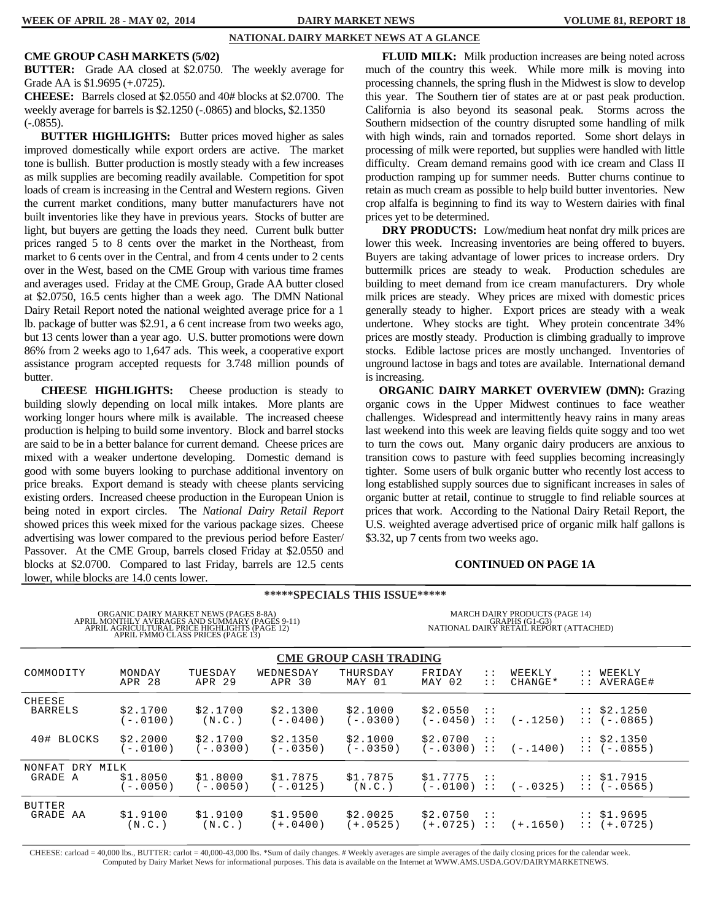#### **NATIONAL DAIRY MARKET NEWS AT A GLANCE**

#### **CME GROUP CASH MARKETS (5/02)**

**BUTTER:** Grade AA closed at \$2.0750. The weekly average for Grade AA is \$1.9695 (+.0725).

**CHEESE:** Barrels closed at \$2.0550 and 40# blocks at \$2.0700. The weekly average for barrels is \$2.1250 (-.0865) and blocks, \$2.1350 (-.0855).

 **BUTTER HIGHLIGHTS:** Butter prices moved higher as sales improved domestically while export orders are active. The market tone is bullish. Butter production is mostly steady with a few increases as milk supplies are becoming readily available. Competition for spot loads of cream is increasing in the Central and Western regions. Given the current market conditions, many butter manufacturers have not built inventories like they have in previous years. Stocks of butter are light, but buyers are getting the loads they need. Current bulk butter prices ranged 5 to 8 cents over the market in the Northeast, from market to 6 cents over in the Central, and from 4 cents under to 2 cents over in the West, based on the CME Group with various time frames and averages used. Friday at the CME Group, Grade AA butter closed at \$2.0750, 16.5 cents higher than a week ago. The DMN National Dairy Retail Report noted the national weighted average price for a 1 lb. package of butter was \$2.91, a 6 cent increase from two weeks ago, but 13 cents lower than a year ago. U.S. butter promotions were down 86% from 2 weeks ago to 1,647 ads. This week, a cooperative export assistance program accepted requests for 3.748 million pounds of butter.

 **CHEESE HIGHLIGHTS:** Cheese production is steady to building slowly depending on local milk intakes. More plants are working longer hours where milk is available. The increased cheese production is helping to build some inventory. Block and barrel stocks are said to be in a better balance for current demand. Cheese prices are mixed with a weaker undertone developing. Domestic demand is good with some buyers looking to purchase additional inventory on price breaks. Export demand is steady with cheese plants servicing existing orders. Increased cheese production in the European Union is being noted in export circles. The *National Dairy Retail Report*  showed prices this week mixed for the various package sizes. Cheese advertising was lower compared to the previous period before Easter/ Passover. At the CME Group, barrels closed Friday at \$2.0550 and blocks at \$2.0700. Compared to last Friday, barrels are 12.5 cents lower, while blocks are 14.0 cents lower.

**FLUID MILK:** Milk production increases are being noted across much of the country this week. While more milk is moving into processing channels, the spring flush in the Midwest is slow to develop this year. The Southern tier of states are at or past peak production. California is also beyond its seasonal peak. Storms across the Southern midsection of the country disrupted some handling of milk with high winds, rain and tornados reported. Some short delays in processing of milk were reported, but supplies were handled with little difficulty. Cream demand remains good with ice cream and Class II production ramping up for summer needs. Butter churns continue to retain as much cream as possible to help build butter inventories. New crop alfalfa is beginning to find its way to Western dairies with final prices yet to be determined.

**DRY PRODUCTS:** Low/medium heat nonfat dry milk prices are lower this week. Increasing inventories are being offered to buyers. Buyers are taking advantage of lower prices to increase orders. Dry buttermilk prices are steady to weak. Production schedules are building to meet demand from ice cream manufacturers. Dry whole milk prices are steady. Whey prices are mixed with domestic prices generally steady to higher. Export prices are steady with a weak undertone. Whey stocks are tight. Whey protein concentrate 34% prices are mostly steady. Production is climbing gradually to improve stocks. Edible lactose prices are mostly unchanged. Inventories of unground lactose in bags and totes are available. International demand is increasing.

 **ORGANIC DAIRY MARKET OVERVIEW (DMN):** Grazing organic cows in the Upper Midwest continues to face weather challenges. Widespread and intermittently heavy rains in many areas last weekend into this week are leaving fields quite soggy and too wet to turn the cows out. Many organic dairy producers are anxious to transition cows to pasture with feed supplies becoming increasingly tighter. Some users of bulk organic butter who recently lost access to long established supply sources due to significant increases in sales of organic butter at retail, continue to struggle to find reliable sources at prices that work. According to the National Dairy Retail Report, the U.S. weighted average advertised price of organic milk half gallons is \$3.32, up 7 cents from two weeks ago.

#### **CONTINUED ON PAGE 1A**

| TOWER, WHILE DIOCKS are 14.0 cents lower.                                                                                                                                                                     |                        |                       |                        |                                       |                                                                                             |                                |                   |               |                              |
|---------------------------------------------------------------------------------------------------------------------------------------------------------------------------------------------------------------|------------------------|-----------------------|------------------------|---------------------------------------|---------------------------------------------------------------------------------------------|--------------------------------|-------------------|---------------|------------------------------|
|                                                                                                                                                                                                               |                        |                       |                        | <b>*****SPECIALS THIS ISSUE******</b> |                                                                                             |                                |                   |               |                              |
| ORGANIC DAIRY MARKET NEWS (PAGES 8-8A)<br>${\small\bf \Delta PRIL\ MOMTHLY\ AVERAGES\ AND\ SUMMARY\ (PAGES\ 9-11)\ APRIL\ AGRICULTURAL\ PRICE\ HIGHLIGHTS\ (PAGE\ 12) }$<br>APRIL FMMO CLASS PRICES (PAGE 13) |                        |                       |                        |                                       | MARCH DAIRY PRODUCTS (PAGE 14)<br>GRAPHS (G1-G3)<br>NATIONAL DAIRY RETAIL REPORT (ATTACHED) |                                |                   |               |                              |
| <b>CME GROUP CASH TRADING</b>                                                                                                                                                                                 |                        |                       |                        |                                       |                                                                                             |                                |                   |               |                              |
| COMMODITY                                                                                                                                                                                                     | MONDAY<br>APR 28       | TUESDAY<br>APR 29     | WEDNESDAY<br>APR 30    | THURSDAY<br>MAY 01                    | FRIDAY<br>MAY 02                                                                            | $\mathbb{R}^n$<br>$\mathbf{1}$ | WEEKLY<br>CHANGE* | $\mathbf{1}$  | WEEKLY<br>AVERAGE#           |
| CHEESE<br><b>BARRELS</b>                                                                                                                                                                                      | \$2.1700<br>$(-.0100)$ | \$2.1700<br>(N.C. )   | \$2.1300<br>$(-.0400)$ | \$2.1000<br>$(-.0300)$                | \$2.0550<br>(-.0450)                                                                        | $\mathcal{L}$<br>$\mathcal{L}$ | $(-.1250)$        |               | $:$ \$2.1250<br>$: (-.0865)$ |
| 40# BLOCKS                                                                                                                                                                                                    | \$2.2000<br>$-.0100)$  | \$2.1700<br>$-.0300)$ | \$2.1350<br>$(-.0350)$ | \$2.1000<br>$-.0350)$                 | \$2.0700<br>$(-.0300) ::$                                                                   | $\cdots$                       | $(-.1400)$        |               | $:$ \$2.1350<br>$: (-.0855)$ |
| NONFAT<br>DRY MILK                                                                                                                                                                                            |                        |                       |                        |                                       |                                                                                             |                                |                   |               |                              |
| GRADE A                                                                                                                                                                                                       | \$1.8050<br>$-.0050)$  | \$1.8000<br>$-.0050)$ | \$1.7875<br>$(-.0125)$ | \$1.7875<br>(N.C.)                    | \$1.7775<br>$(-.0100) ::$                                                                   | $\cdots$                       | $(-.0325)$        | $\mathcal{L}$ | \$1.7915<br>$: (-.0565)$     |
| <b>BUTTER</b><br>GRADE AA                                                                                                                                                                                     | \$1.9100<br>(N.C.)     | \$1.9100<br>(N.C.)    | \$1.9500<br>$(+.0400)$ | \$2.0025<br>$+.0525)$                 | \$2.0750<br>$(+.0725) ::$                                                                   | $\cdot$ :                      | $(+.1650)$        | $\mathcal{L}$ | \$1.9695<br>$::(+.0725)$     |

CHEESE: carload = 40,000 lbs., BUTTER: carlot = 40,000-43,000 lbs. \*Sum of daily changes. # Weekly averages are simple averages of the daily closing prices for the calendar week. Computed by Dairy Market News for informational purposes. This data is available on the Internet at WWW.AMS.USDA.GOV/DAIRYMARKETNEWS.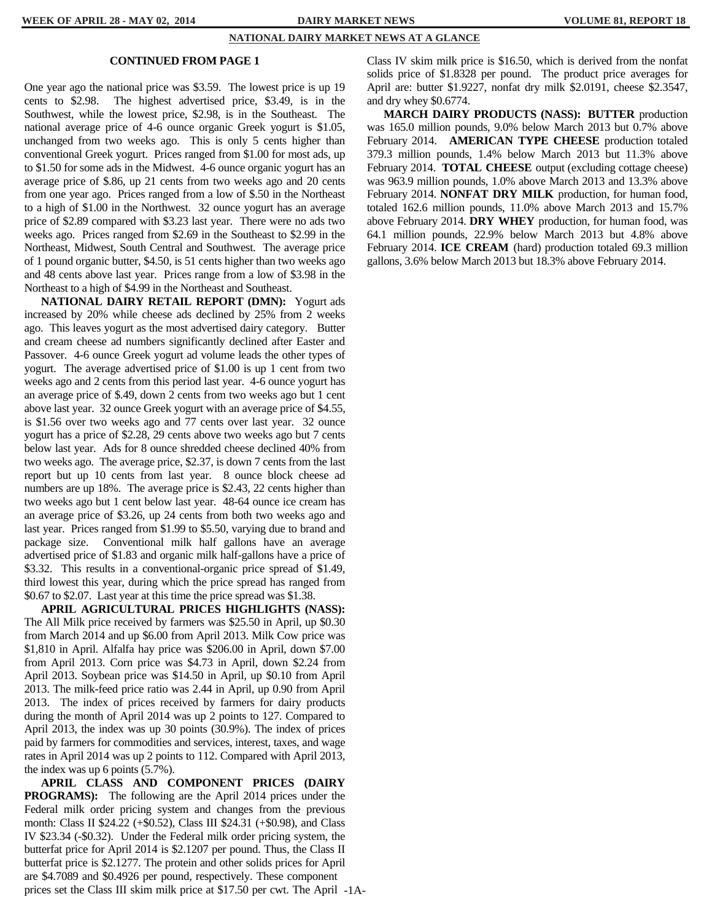#### **NATIONAL DAIRY MARKET NEWS AT A GLANCE**

#### **CONTINUED FROM PAGE 1**

One year ago the national price was \$3.59. The lowest price is up 19 cents to \$2.98. The highest advertised price, \$3.49, is in the Southwest, while the lowest price, \$2.98, is in the Southeast. The national average price of 4-6 ounce organic Greek yogurt is \$1.05, unchanged from two weeks ago. This is only 5 cents higher than conventional Greek yogurt. Prices ranged from \$1.00 for most ads, up to \$1.50 for some ads in the Midwest. 4-6 ounce organic yogurt has an average price of \$.86, up 21 cents from two weeks ago and 20 cents from one year ago. Prices ranged from a low of \$.50 in the Northeast to a high of \$1.00 in the Northwest. 32 ounce yogurt has an average price of \$2.89 compared with \$3.23 last year. There were no ads two weeks ago. Prices ranged from \$2.69 in the Southeast to \$2.99 in the Northeast, Midwest, South Central and Southwest. The average price of 1 pound organic butter, \$4.50, is 51 cents higher than two weeks ago and 48 cents above last year. Prices range from a low of \$3.98 in the Northeast to a high of \$4.99 in the Northeast and Southeast.

 **NATIONAL DAIRY RETAIL REPORT (DMN):** Yogurt ads increased by 20% while cheese ads declined by 25% from 2 weeks ago. This leaves yogurt as the most advertised dairy category. Butter and cream cheese ad numbers significantly declined after Easter and Passover. 4-6 ounce Greek yogurt ad volume leads the other types of yogurt. The average advertised price of \$1.00 is up 1 cent from two weeks ago and 2 cents from this period last year. 4-6 ounce yogurt has an average price of \$.49, down 2 cents from two weeks ago but 1 cent above last year. 32 ounce Greek yogurt with an average price of \$4.55, is \$1.56 over two weeks ago and 77 cents over last year. 32 ounce yogurt has a price of \$2.28, 29 cents above two weeks ago but 7 cents below last year. Ads for 8 ounce shredded cheese declined 40% from two weeks ago. The average price, \$2.37, is down 7 cents from the last report but up 10 cents from last year. 8 ounce block cheese ad numbers are up 18%. The average price is \$2.43, 22 cents higher than two weeks ago but 1 cent below last year. 48-64 ounce ice cream has an average price of \$3.26, up 24 cents from both two weeks ago and last year. Prices ranged from \$1.99 to \$5.50, varying due to brand and package size. Conventional milk half gallons have an average advertised price of \$1.83 and organic milk half-gallons have a price of \$3.32. This results in a conventional-organic price spread of \$1.49, third lowest this year, during which the price spread has ranged from \$0.67 to \$2.07. Last year at this time the price spread was \$1.38.

 **APRIL AGRICULTURAL PRICES HIGHLIGHTS (NASS):**  The All Milk price received by farmers was \$25.50 in April, up \$0.30 from March 2014 and up \$6.00 from April 2013. Milk Cow price was \$1,810 in April. Alfalfa hay price was \$206.00 in April, down \$7.00 from April 2013. Corn price was \$4.73 in April, down \$2.24 from April 2013. Soybean price was \$14.50 in April, up \$0.10 from April 2013. The milk-feed price ratio was 2.44 in April, up 0.90 from April 2013. The index of prices received by farmers for dairy products during the month of April 2014 was up 2 points to 127. Compared to April 2013, the index was up 30 points (30.9%). The index of prices paid by farmers for commodities and services, interest, taxes, and wage rates in April 2014 was up 2 points to 112. Compared with April 2013, the index was up 6 points (5.7%).

 **APRIL CLASS AND COMPONENT PRICES (DAIRY PROGRAMS):** The following are the April 2014 prices under the Federal milk order pricing system and changes from the previous month: Class II \$24.22 (+\$0.52), Class III \$24.31 (+\$0.98), and Class IV \$23.34 (-\$0.32). Under the Federal milk order pricing system, the butterfat price for April 2014 is \$2.1207 per pound. Thus, the Class II butterfat price is \$2.1277. The protein and other solids prices for April are \$4.7089 and \$0.4926 per pound, respectively. These component prices set the Class III skim milk price at \$17.50 per cwt. The April -1A-

Class IV skim milk price is \$16.50, which is derived from the nonfat solids price of \$1.8328 per pound. The product price averages for April are: butter \$1.9227, nonfat dry milk \$2.0191, cheese \$2.3547, and dry whey \$0.6774.

 **MARCH DAIRY PRODUCTS (NASS): BUTTER** production was 165.0 million pounds, 9.0% below March 2013 but 0.7% above February 2014. **AMERICAN TYPE CHEESE** production totaled 379.3 million pounds, 1.4% below March 2013 but 11.3% above February 2014. **TOTAL CHEESE** output (excluding cottage cheese) was 963.9 million pounds, 1.0% above March 2013 and 13.3% above February 2014. **NONFAT DRY MILK** production, for human food, totaled 162.6 million pounds, 11.0% above March 2013 and 15.7% above February 2014. **DRY WHEY** production, for human food, was 64.1 million pounds, 22.9% below March 2013 but 4.8% above February 2014. **ICE CREAM** (hard) production totaled 69.3 million gallons, 3.6% below March 2013 but 18.3% above February 2014.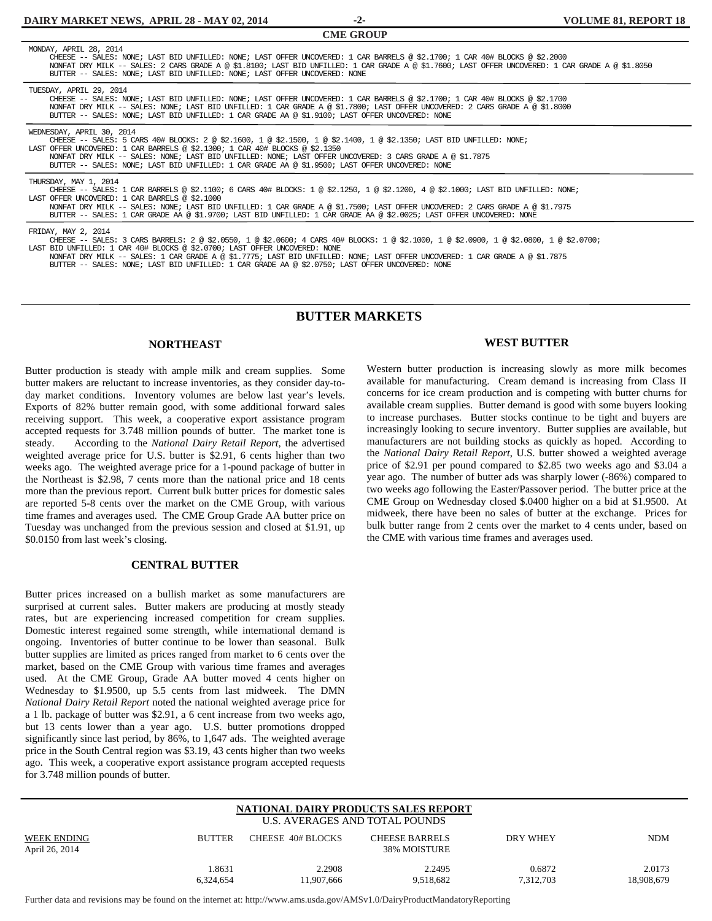**-2- CME GROUP** 

| <b>UNIE GRUUF</b>                                                                                                                                                                                                                                                                                                                                                                                                                                                              |
|--------------------------------------------------------------------------------------------------------------------------------------------------------------------------------------------------------------------------------------------------------------------------------------------------------------------------------------------------------------------------------------------------------------------------------------------------------------------------------|
| MONDAY, APRIL 28, 2014<br>CHEESE -- SALES: NONE; LAST BID UNFILLED: NONE; LAST OFFER UNCOVERED: 1 CAR BARRELS @ \$2.1700; 1 CAR 40# BLOCKS @ \$2.2000<br>NONFAT DRY MILK -- SALES: 2 CARS GRADE A @ \$1.8100; LAST BID UNFILLED: 1 CAR GRADE A @ \$1.7600; LAST OFFER UNCOVERED: 1 CAR GRADE A @ \$1.8050<br>BUTTER -- SALES: NONE; LAST BID UNFILLED: NONE; LAST OFFER UNCOVERED: NONE                                                                                        |
| TUESDAY, APRIL 29, 2014<br>CHEESE -- SALES: NONE; LAST BID UNFILLED: NONE; LAST OFFER UNCOVERED: 1 CAR BARRELS @ \$2.1700; 1 CAR 40# BLOCKS @ \$2.1700<br>NONFAT DRY MILK -- SALES: NONE; LAST BID UNFILLED: 1 CAR GRADE A @ \$1.7800; LAST OFFER UNCOVERED: 2 CARS GRADE A @ \$1.8000<br>BUTTER -- SALES: NONE; LAST BID UNFILLED: 1 CAR GRADE AA @ \$1.9100; LAST OFFER UNCOVERED: NONE                                                                                      |
| WEDNESDAY, APRIL 30, 2014<br>CHEESE -- SALES: 5 CARS 40# BLOCKS: 2 @ \$2.1600, 1 @ \$2.1500, 1 @ \$2.1400, 1 @ \$2.1350; LAST BID UNFILLED: NONE;<br>LAST OFFER UNCOVERED: 1 CAR BARRELS @ \$2.1300; 1 CAR 40# BLOCKS @ \$2.1350<br>NONFAT DRY MILK -- SALES: NONE; LAST BID UNFILLED: NONE; LAST OFFER UNCOVERED: 3 CARS GRADE A @ \$1.7875<br>BUTTER -- SALES: NONE; LAST BID UNFILLED: 1 CAR GRADE AA @ \$1.9500; LAST OFFER UNCOVERED: NONE                                |
| THURSDAY, MAY 1, 2014<br>CHEESE -- SALES: 1 CAR BARRELS @ \$2.1100; 6 CARS 40# BLOCKS: 1 @ \$2.1250, 1 @ \$2.1200, 4 @ \$2.1000; LAST BID UNFILLED: NONE;<br>LAST OFFER UNCOVERED: 1 CAR BARRELS @ \$2.1000<br>NONFAT DRY MILK -- SALES: NONE; LAST BID UNFILLED: 1 CAR GRADE A @ \$1.7500; LAST OFFER UNCOVERED: 2 CARS GRADE A @ \$1.7975<br>BUTTER -- SALES: 1 CAR GRADE AA @ \$1.9700; LAST BID UNFILLED: 1 CAR GRADE AA @ \$2.0025; LAST OFFER UNCOVERED: NONE            |
| FRIDAY, MAY 2, 2014<br>CHEESE -- SALES: 3 CARS BARRELS: 2 @ \$2.0550, 1 @ \$2.0600; 4 CARS 40# BLOCKS: 1 @ \$2.1000, 1 @ \$2.0900, 1 @ \$2.0800, 1 @ \$2.0700;<br>LAST BID UNFILLED: 1 CAR 40# BLOCKS @ \$2.0700; LAST OFFER UNCOVERED: NONE<br>NONFAT DRY MILK -- SALES: 1 CAR GRADE A @ \$1.7775; LAST BID UNFILLED: NONE; LAST OFFER UNCOVERED: 1 CAR GRADE A @ \$1.7875<br>BUTTER -- SALES: NONE; LAST BID UNFILLED: 1 CAR GRADE AA @ \$2.0750; LAST OFFER UNCOVERED: NONE |

#### **BUTTER MARKETS**

#### **NORTHEAST**

Butter production is steady with ample milk and cream supplies. Some butter makers are reluctant to increase inventories, as they consider day-today market conditions. Inventory volumes are below last year's levels. Exports of 82% butter remain good, with some additional forward sales receiving support. This week, a cooperative export assistance program accepted requests for 3.748 million pounds of butter. The market tone is steady. According to the *National Dairy Retail Report*, the advertised weighted average price for U.S. butter is \$2.91, 6 cents higher than two weeks ago. The weighted average price for a 1-pound package of butter in the Northeast is \$2.98, 7 cents more than the national price and 18 cents more than the previous report. Current bulk butter prices for domestic sales are reported 5-8 cents over the market on the CME Group, with various time frames and averages used. The CME Group Grade AA butter price on Tuesday was unchanged from the previous session and closed at \$1.91, up \$0.0150 from last week's closing.

#### **CENTRAL BUTTER**

Butter prices increased on a bullish market as some manufacturers are surprised at current sales. Butter makers are producing at mostly steady rates, but are experiencing increased competition for cream supplies. Domestic interest regained some strength, while international demand is ongoing. Inventories of butter continue to be lower than seasonal. Bulk butter supplies are limited as prices ranged from market to 6 cents over the market, based on the CME Group with various time frames and averages used. At the CME Group, Grade AA butter moved 4 cents higher on Wednesday to \$1.9500, up 5.5 cents from last midweek. The DMN *National Dairy Retail Report* noted the national weighted average price for a 1 lb. package of butter was \$2.91, a 6 cent increase from two weeks ago, but 13 cents lower than a year ago. U.S. butter promotions dropped significantly since last period, by 86%, to 1,647 ads. The weighted average price in the South Central region was \$3.19, 43 cents higher than two weeks ago. This week, a cooperative export assistance program accepted requests for 3.748 million pounds of butter.

#### **WEST BUTTER**

Western butter production is increasing slowly as more milk becomes available for manufacturing. Cream demand is increasing from Class II concerns for ice cream production and is competing with butter churns for available cream supplies. Butter demand is good with some buyers looking to increase purchases. Butter stocks continue to be tight and buyers are increasingly looking to secure inventory. Butter supplies are available, but manufacturers are not building stocks as quickly as hoped. According to the *National Dairy Retail Report*, U.S. butter showed a weighted average price of \$2.91 per pound compared to \$2.85 two weeks ago and \$3.04 a year ago. The number of butter ads was sharply lower (-86%) compared to two weeks ago following the Easter/Passover period. The butter price at the CME Group on Wednesday closed \$.0400 higher on a bid at \$1.9500. At midweek, there have been no sales of butter at the exchange. Prices for bulk butter range from 2 cents over the market to 4 cents under, based on the CME with various time frames and averages used.

#### **NATIONAL DAIRY PRODUCTS SALES REPORT**  U.S. AVERAGES AND TOTAL POUNDS

| WEEK ENDING<br>April 26, 2014 | <b>BUTTER</b> | CHEESE 40# BLOCKS | <b>CHEESE BARRELS</b><br>38% MOISTURE | DRY WHEY  | <b>NDM</b> |
|-------------------------------|---------------|-------------------|---------------------------------------|-----------|------------|
|                               | .8631         | 2.2908            | 2.2495                                | 0.6872    | 2.0173     |
|                               | 6.324.654     | 11.907.666        | 9.518.682                             | 7,312,703 | 18.908.679 |

Further data and revisions may be found on the internet at: http://www.ams.usda.gov/AMSv1.0/DairyProductMandatoryReporting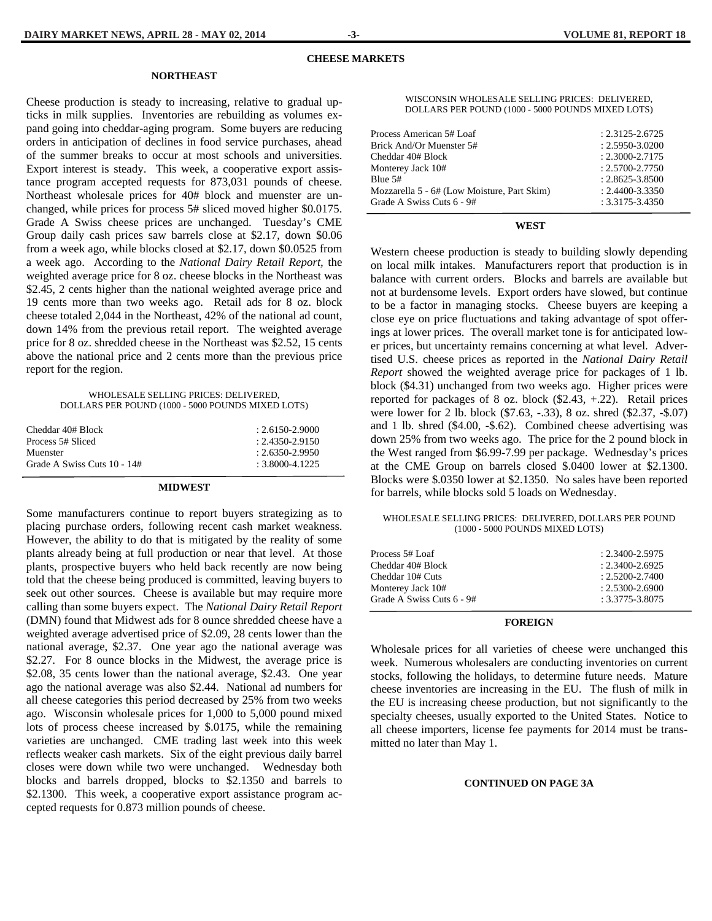#### **NORTHEAST**

Cheese production is steady to increasing, relative to gradual upticks in milk supplies. Inventories are rebuilding as volumes expand going into cheddar-aging program. Some buyers are reducing orders in anticipation of declines in food service purchases, ahead of the summer breaks to occur at most schools and universities. Export interest is steady. This week, a cooperative export assistance program accepted requests for 873,031 pounds of cheese. Northeast wholesale prices for 40# block and muenster are unchanged, while prices for process 5# sliced moved higher \$0.0175. Grade A Swiss cheese prices are unchanged. Tuesday's CME Group daily cash prices saw barrels close at \$2.17, down \$0.06 from a week ago, while blocks closed at \$2.17, down \$0.0525 from a week ago. According to the *National Dairy Retail Report,* the weighted average price for 8 oz. cheese blocks in the Northeast was \$2.45, 2 cents higher than the national weighted average price and 19 cents more than two weeks ago. Retail ads for 8 oz. block cheese totaled 2,044 in the Northeast, 42% of the national ad count, down 14% from the previous retail report. The weighted average price for 8 oz. shredded cheese in the Northeast was \$2.52, 15 cents above the national price and 2 cents more than the previous price report for the region.

#### WHOLESALE SELLING PRICES: DELIVERED, DOLLARS PER POUND (1000 - 5000 POUNDS MIXED LOTS)

| Cheddar 40# Block<br>Process 5# Sliced | $: 2.6150 - 2.9000$<br>$: 2.4350 - 2.9150$ |
|----------------------------------------|--------------------------------------------|
| Muenster                               | $: 2.6350 - 2.9950$                        |
| Grade A Swiss Cuts 10 - 14#            | $: 3.8000 - 4.1225$                        |
|                                        |                                            |

#### **MIDWEST**

Some manufacturers continue to report buyers strategizing as to placing purchase orders, following recent cash market weakness. However, the ability to do that is mitigated by the reality of some plants already being at full production or near that level. At those plants, prospective buyers who held back recently are now being told that the cheese being produced is committed, leaving buyers to seek out other sources. Cheese is available but may require more calling than some buyers expect. The *National Dairy Retail Report*  (DMN) found that Midwest ads for 8 ounce shredded cheese have a weighted average advertised price of \$2.09, 28 cents lower than the national average, \$2.37. One year ago the national average was \$2.27. For 8 ounce blocks in the Midwest, the average price is \$2.08, 35 cents lower than the national average, \$2.43. One year ago the national average was also \$2.44. National ad numbers for all cheese categories this period decreased by 25% from two weeks ago. Wisconsin wholesale prices for 1,000 to 5,000 pound mixed lots of process cheese increased by \$.0175, while the remaining varieties are unchanged. CME trading last week into this week reflects weaker cash markets. Six of the eight previous daily barrel closes were down while two were unchanged. Wednesday both blocks and barrels dropped, blocks to \$2.1350 and barrels to \$2.1300. This week, a cooperative export assistance program accepted requests for 0.873 million pounds of cheese.

| Process American 5# Loaf                    | $: 2.3125 - 2.6725$ |
|---------------------------------------------|---------------------|
| Brick And/Or Muenster 5#                    | $: 2.5950 - 3.0200$ |
| Cheddar 40# Block                           | $: 2.3000 - 2.7175$ |
| Monterey Jack 10#                           | $: 2.5700 - 2.7750$ |
| Blue 5#                                     | $: 2.8625 - 3.8500$ |
| Mozzarella 5 - 6# (Low Moisture, Part Skim) | $: 2.4400 - 3.3350$ |
| Grade A Swiss Cuts 6 - 9#                   | $: 3.3175 - 3.4350$ |
|                                             |                     |

 **WEST** 

Western cheese production is steady to building slowly depending on local milk intakes. Manufacturers report that production is in balance with current orders. Blocks and barrels are available but not at burdensome levels. Export orders have slowed, but continue to be a factor in managing stocks. Cheese buyers are keeping a close eye on price fluctuations and taking advantage of spot offerings at lower prices. The overall market tone is for anticipated lower prices, but uncertainty remains concerning at what level. Advertised U.S. cheese prices as reported in the *National Dairy Retail Report* showed the weighted average price for packages of 1 lb. block (\$4.31) unchanged from two weeks ago. Higher prices were reported for packages of 8 oz. block (\$2.43, +.22). Retail prices were lower for 2 lb. block (\$7.63, -.33), 8 oz. shred (\$2.37, -\$.07) and 1 lb. shred (\$4.00, -\$.62). Combined cheese advertising was down 25% from two weeks ago. The price for the 2 pound block in the West ranged from \$6.99-7.99 per package. Wednesday's prices at the CME Group on barrels closed \$.0400 lower at \$2.1300. Blocks were \$.0350 lower at \$2.1350. No sales have been reported for barrels, while blocks sold 5 loads on Wednesday.

#### WHOLESALE SELLING PRICES: DELIVERED, DOLLARS PER POUND (1000 - 5000 POUNDS MIXED LOTS)

| Process 5# Loaf           | $: 2.3400 - 2.5975$ |
|---------------------------|---------------------|
| Cheddar 40# Block         | $: 2.3400 - 2.6925$ |
| Cheddar 10# Cuts          | $: 2.5200 - 2.7400$ |
| Monterey Jack 10#         | $: 2.5300 - 2.6900$ |
| Grade A Swiss Cuts 6 - 9# | $: 3.3775 - 3.8075$ |
|                           |                     |

#### **FOREIGN**

Wholesale prices for all varieties of cheese were unchanged this week. Numerous wholesalers are conducting inventories on current stocks, following the holidays, to determine future needs. Mature cheese inventories are increasing in the EU. The flush of milk in the EU is increasing cheese production, but not significantly to the specialty cheeses, usually exported to the United States. Notice to all cheese importers, license fee payments for 2014 must be transmitted no later than May 1.

#### **CONTINUED ON PAGE 3A**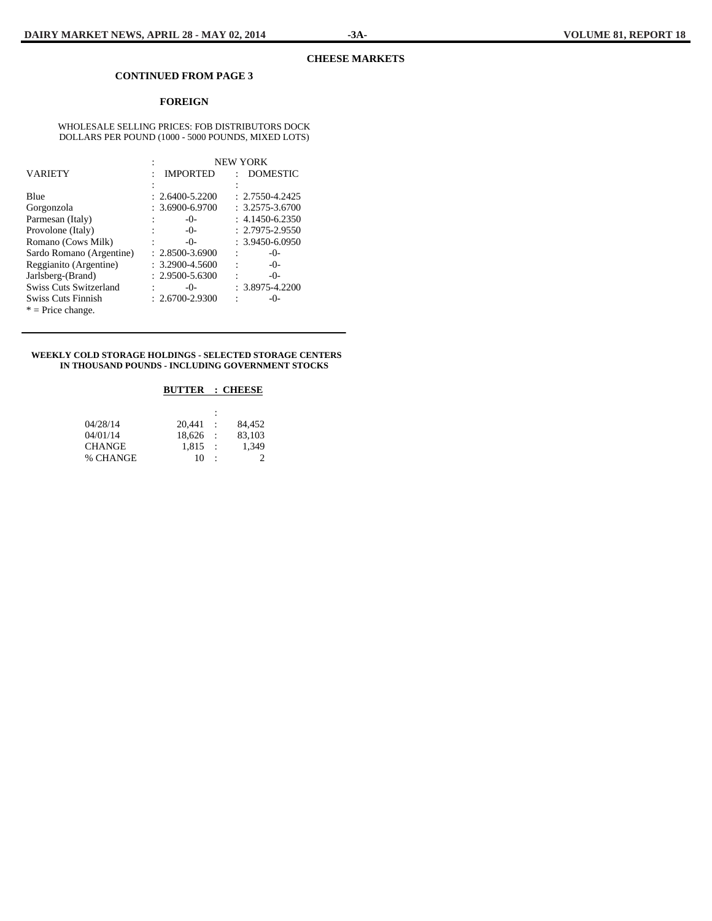#### **CHEESE MARKETS**

#### **CONTINUED FROM PAGE 3**

#### **FOREIGN**

#### WHOLESALE SELLING PRICES: FOB DISTRIBUTORS DOCK DOLLARS PER POUND (1000 - 5000 POUNDS, MIXED LOTS)

|                           |                     | <b>NEW YORK</b>     |
|---------------------------|---------------------|---------------------|
| <b>VARIETY</b>            | <b>IMPORTED</b>     | <b>DOMESTIC</b>     |
|                           |                     |                     |
| Blue                      | $: 2.6400 - 5.2200$ | $: 2.7550 - 4.2425$ |
| Gorgonzola                | $: 3.6900 - 6.9700$ | $: 3.2575 - 3.6700$ |
| Parmesan (Italy)          | $-0-$               | $: 4.1450 - 6.2350$ |
| Provolone (Italy)         | $-()$ -             | $: 2.7975 - 2.9550$ |
| Romano (Cows Milk)        | $-()$ -             | $: 3.9450 - 6.0950$ |
| Sardo Romano (Argentine)  | $: 2.8500 - 3.6900$ | $-()$ -             |
| Reggianito (Argentine)    | $: 3.2900 - 4.5600$ | $-()$ -<br>÷        |
| Jarlsberg-(Brand)         | $: 2.9500 - 5.6300$ | $-()$ -             |
| Swiss Cuts Switzerland    | $-0-$               | $: 3.8975 - 4.2200$ |
| <b>Swiss Cuts Finnish</b> | $: 2.6700 - 2.9300$ | $-0-$               |
| $*$ = Price change.       |                     |                     |

#### **WEEKLY COLD STORAGE HOLDINGS - SELECTED STORAGE CENTERS IN THOUSAND POUNDS - INCLUDING GOVERNMENT STOCKS**

#### **BUTTER : CHEESE**

|               |        | ÷                    |        |
|---------------|--------|----------------------|--------|
| 04/28/14      | 20.441 |                      | 84.452 |
| 04/01/14      | 18.626 | $\ddot{\phantom{a}}$ | 83.103 |
| <b>CHANGE</b> | 1.815  | $\cdot$ :            | 1.349  |
| % CHANGE      | 10     | $\ddot{\cdot}$       |        |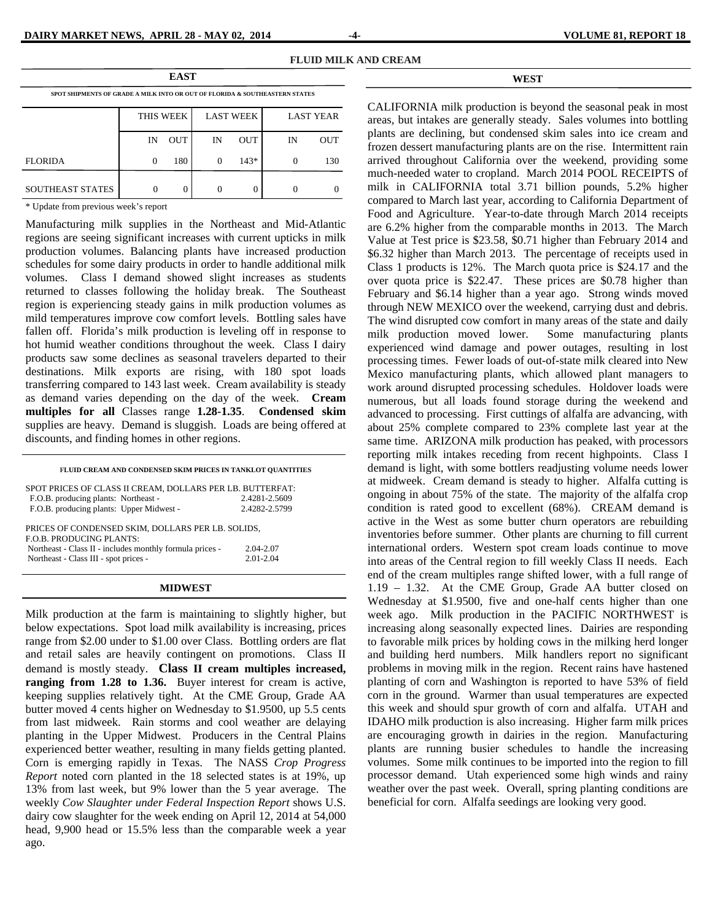| <b>EAST</b>                                                                 |          |            |          |                  |                  |     |  |  |  |
|-----------------------------------------------------------------------------|----------|------------|----------|------------------|------------------|-----|--|--|--|
| SPOT SHIPMENTS OF GRADE A MILK INTO OR OUT OF FLORIDA & SOUTHEASTERN STATES |          |            |          |                  |                  |     |  |  |  |
|                                                                             |          | THIS WEEK  |          | <b>LAST WEEK</b> | <b>LAST YEAR</b> |     |  |  |  |
|                                                                             | IN       | <b>OUT</b> | IN       | <b>OUT</b>       | IN               | OUT |  |  |  |
| <b>FLORIDA</b>                                                              | $\Omega$ | 180        | $\Omega$ | $143*$           | 0                | 130 |  |  |  |
| <b>SOUTHEAST STATES</b>                                                     |          |            |          |                  |                  |     |  |  |  |

**FLUID MILK AND CREAM**

**WEST** 

\* Update from previous week's report

Manufacturing milk supplies in the Northeast and Mid-Atlantic regions are seeing significant increases with current upticks in milk production volumes. Balancing plants have increased production schedules for some dairy products in order to handle additional milk volumes. Class I demand showed slight increases as students returned to classes following the holiday break. The Southeast region is experiencing steady gains in milk production volumes as mild temperatures improve cow comfort levels. Bottling sales have fallen off. Florida's milk production is leveling off in response to hot humid weather conditions throughout the week. Class I dairy products saw some declines as seasonal travelers departed to their destinations. Milk exports are rising, with 180 spot loads transferring compared to 143 last week. Cream availability is steady as demand varies depending on the day of the week. **Cream multiples for all** Classes range **1.28-1.35**. **Condensed skim**  supplies are heavy. Demand is sluggish. Loads are being offered at discounts, and finding homes in other regions.

#### **FLUID CREAM AND CONDENSED SKIM PRICES IN TANKLOT QUANTITIES**  SPOT PRICES OF CLASS II CREAM, DOLLARS PER LB. BUTTERFAT: F.O.B. producing plants: Northeast - 2.4281-2.5609 F.O.B. producing plants: Upper Midwest - 2.4282-2.5799 PRICES OF CONDENSED SKIM, DOLLARS PER LB. SOLIDS, F.O.B. PRODUCING PLANTS: Northeast - Class II - includes monthly formula prices - 2.04-2.07 Northeast - Class III - spot prices - 2.01-2.04

#### **MIDWEST**

Milk production at the farm is maintaining to slightly higher, but below expectations. Spot load milk availability is increasing, prices range from \$2.00 under to \$1.00 over Class. Bottling orders are flat and retail sales are heavily contingent on promotions. Class II demand is mostly steady. **Class II cream multiples increased, ranging from 1.28 to 1.36.** Buyer interest for cream is active, keeping supplies relatively tight. At the CME Group, Grade AA butter moved 4 cents higher on Wednesday to \$1.9500, up 5.5 cents from last midweek. Rain storms and cool weather are delaying planting in the Upper Midwest. Producers in the Central Plains experienced better weather, resulting in many fields getting planted. Corn is emerging rapidly in Texas. The NASS *Crop Progress Report* noted corn planted in the 18 selected states is at 19%, up 13% from last week, but 9% lower than the 5 year average. The weekly *Cow Slaughter under Federal Inspection Report* shows U.S. dairy cow slaughter for the week ending on April 12, 2014 at 54,000 head, 9,900 head or 15.5% less than the comparable week a year ago.

CALIFORNIA milk production is beyond the seasonal peak in most areas, but intakes are generally steady. Sales volumes into bottling plants are declining, but condensed skim sales into ice cream and frozen dessert manufacturing plants are on the rise. Intermittent rain arrived throughout California over the weekend, providing some much-needed water to cropland. March 2014 POOL RECEIPTS of milk in CALIFORNIA total 3.71 billion pounds, 5.2% higher compared to March last year, according to California Department of Food and Agriculture. Year-to-date through March 2014 receipts are 6.2% higher from the comparable months in 2013. The March Value at Test price is \$23.58, \$0.71 higher than February 2014 and \$6.32 higher than March 2013. The percentage of receipts used in Class 1 products is 12%. The March quota price is \$24.17 and the over quota price is \$22.47. These prices are \$0.78 higher than February and \$6.14 higher than a year ago. Strong winds moved through NEW MEXICO over the weekend, carrying dust and debris. The wind disrupted cow comfort in many areas of the state and daily milk production moved lower. Some manufacturing plants experienced wind damage and power outages, resulting in lost processing times. Fewer loads of out-of-state milk cleared into New Mexico manufacturing plants, which allowed plant managers to work around disrupted processing schedules. Holdover loads were numerous, but all loads found storage during the weekend and advanced to processing. First cuttings of alfalfa are advancing, with about 25% complete compared to 23% complete last year at the same time. ARIZONA milk production has peaked, with processors reporting milk intakes receding from recent highpoints. Class I demand is light, with some bottlers readjusting volume needs lower at midweek. Cream demand is steady to higher. Alfalfa cutting is ongoing in about 75% of the state. The majority of the alfalfa crop condition is rated good to excellent (68%). CREAM demand is active in the West as some butter churn operators are rebuilding inventories before summer. Other plants are churning to fill current international orders. Western spot cream loads continue to move into areas of the Central region to fill weekly Class II needs. Each end of the cream multiples range shifted lower, with a full range of 1.19 – 1.32. At the CME Group, Grade AA butter closed on Wednesday at \$1.9500, five and one-half cents higher than one week ago. Milk production in the PACIFIC NORTHWEST is increasing along seasonally expected lines. Dairies are responding to favorable milk prices by holding cows in the milking herd longer and building herd numbers. Milk handlers report no significant problems in moving milk in the region. Recent rains have hastened planting of corn and Washington is reported to have 53% of field corn in the ground. Warmer than usual temperatures are expected this week and should spur growth of corn and alfalfa. UTAH and IDAHO milk production is also increasing. Higher farm milk prices are encouraging growth in dairies in the region. Manufacturing plants are running busier schedules to handle the increasing volumes. Some milk continues to be imported into the region to fill processor demand. Utah experienced some high winds and rainy weather over the past week. Overall, spring planting conditions are beneficial for corn. Alfalfa seedings are looking very good.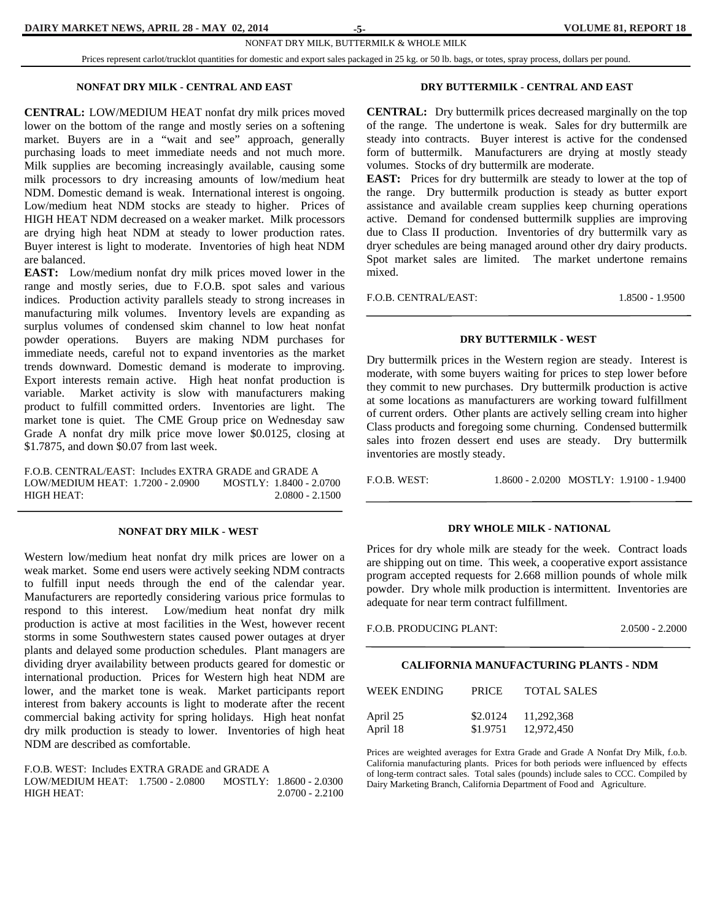#### **DAIRY MARKET NEWS, APRIL 28 - MAY 02, 2014 5-12014 12:33 - 12:33 12:34 12:34 12:34 12:34 12:34 12:34 12:34 12:34 12:34 12:34 12:34 12:34 12:34 12:34 12:34 12:34 12:34 12:34 12:34 12:34 12:34 12:34 12:34 12:34 12:34 12:34**

#### NONFAT DRY MILK, BUTTERMILK & WHOLE MILK

Prices represent carlot/trucklot quantities for domestic and export sales packaged in 25 kg. or 50 lb. bags, or totes, spray process, dollars per pound.

#### **NONFAT DRY MILK - CENTRAL AND EAST**

**CENTRAL:** LOW/MEDIUM HEAT nonfat dry milk prices moved lower on the bottom of the range and mostly series on a softening market. Buyers are in a "wait and see" approach, generally purchasing loads to meet immediate needs and not much more. Milk supplies are becoming increasingly available, causing some milk processors to dry increasing amounts of low/medium heat NDM. Domestic demand is weak. International interest is ongoing. Low/medium heat NDM stocks are steady to higher. Prices of HIGH HEAT NDM decreased on a weaker market. Milk processors are drying high heat NDM at steady to lower production rates. Buyer interest is light to moderate. Inventories of high heat NDM are balanced.

**EAST:** Low/medium nonfat dry milk prices moved lower in the range and mostly series, due to F.O.B. spot sales and various indices. Production activity parallels steady to strong increases in manufacturing milk volumes. Inventory levels are expanding as surplus volumes of condensed skim channel to low heat nonfat powder operations. Buyers are making NDM purchases for immediate needs, careful not to expand inventories as the market trends downward. Domestic demand is moderate to improving. Export interests remain active. High heat nonfat production is variable. Market activity is slow with manufacturers making product to fulfill committed orders. Inventories are light. The market tone is quiet. The CME Group price on Wednesday saw Grade A nonfat dry milk price move lower \$0.0125, closing at \$1.7875, and down \$0.07 from last week.

F.O.B. CENTRAL/EAST: Includes EXTRA GRADE and GRADE A LOW/MEDIUM HEAT: 1.7200 - 2.0900 MOSTLY: 1.8400 - 2.0700 HIGH HEAT: 2.0800 - 2.1500

#### **NONFAT DRY MILK - WEST**

Western low/medium heat nonfat dry milk prices are lower on a weak market. Some end users were actively seeking NDM contracts to fulfill input needs through the end of the calendar year. Manufacturers are reportedly considering various price formulas to respond to this interest. Low/medium heat nonfat dry milk production is active at most facilities in the West, however recent storms in some Southwestern states caused power outages at dryer plants and delayed some production schedules. Plant managers are dividing dryer availability between products geared for domestic or international production. Prices for Western high heat NDM are lower, and the market tone is weak. Market participants report interest from bakery accounts is light to moderate after the recent commercial baking activity for spring holidays. High heat nonfat dry milk production is steady to lower. Inventories of high heat NDM are described as comfortable.

F.O.B. WEST: Includes EXTRA GRADE and GRADE A LOW/MEDIUM HEAT: 1.7500 - 2.0800 MOSTLY: 1.8600 - 2.0300 HIGH HEAT: 2.0700 - 2.2100

#### **DRY BUTTERMILK - CENTRAL AND EAST**

**CENTRAL:** Dry buttermilk prices decreased marginally on the top of the range. The undertone is weak. Sales for dry buttermilk are steady into contracts. Buyer interest is active for the condensed form of buttermilk. Manufacturers are drying at mostly steady volumes. Stocks of dry buttermilk are moderate.

**EAST:** Prices for dry buttermilk are steady to lower at the top of the range. Dry buttermilk production is steady as butter export assistance and available cream supplies keep churning operations active. Demand for condensed buttermilk supplies are improving due to Class II production. Inventories of dry buttermilk vary as dryer schedules are being managed around other dry dairy products. Spot market sales are limited. The market undertone remains mixed.

F.O.B. CENTRAL/EAST: 1.8500 - 1.9500

#### **DRY BUTTERMILK - WEST**

Dry buttermilk prices in the Western region are steady. Interest is moderate, with some buyers waiting for prices to step lower before they commit to new purchases. Dry buttermilk production is active at some locations as manufacturers are working toward fulfillment of current orders. Other plants are actively selling cream into higher Class products and foregoing some churning. Condensed buttermilk sales into frozen dessert end uses are steady. Dry buttermilk inventories are mostly steady.

F.O.B. WEST: 1.8600 - 2.0200 MOSTLY: 1.9100 - 1.9400

#### **DRY WHOLE MILK - NATIONAL**

Prices for dry whole milk are steady for the week. Contract loads are shipping out on time. This week, a cooperative export assistance program accepted requests for 2.668 million pounds of whole milk powder. Dry whole milk production is intermittent. Inventories are adequate for near term contract fulfillment.

F.O.B. PRODUCING PLANT: 2.0500 - 2.2000

#### **CALIFORNIA MANUFACTURING PLANTS - NDM**

| WEEK ENDING | <b>PRICE</b> | <b>TOTAL SALES</b> |
|-------------|--------------|--------------------|
| April 25    | \$2.0124     | 11,292,368         |
| April 18    | \$1.9751     | 12,972,450         |

Prices are weighted averages for Extra Grade and Grade A Nonfat Dry Milk, f.o.b. California manufacturing plants. Prices for both periods were influenced by effects of long-term contract sales. Total sales (pounds) include sales to CCC. Compiled by Dairy Marketing Branch, California Department of Food and Agriculture.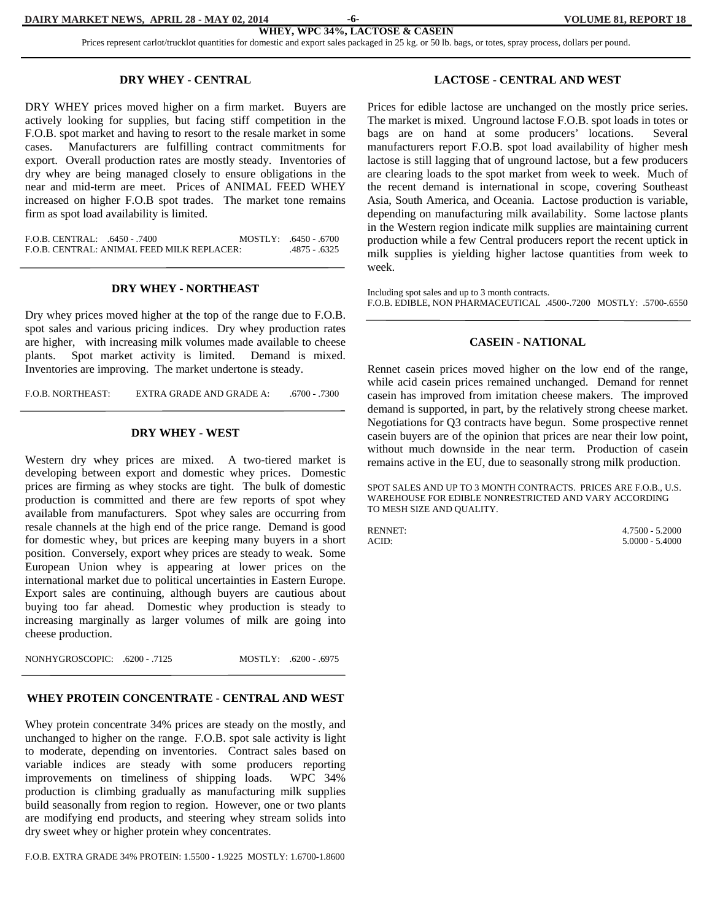Prices represent carlot/trucklot quantities for domestic and export sales packaged in 25 kg. or 50 lb. bags, or totes, spray process, dollars per pound.

#### **DRY WHEY - CENTRAL**

DRY WHEY prices moved higher on a firm market. Buyers are actively looking for supplies, but facing stiff competition in the F.O.B. spot market and having to resort to the resale market in some cases. Manufacturers are fulfilling contract commitments for export. Overall production rates are mostly steady. Inventories of dry whey are being managed closely to ensure obligations in the near and mid-term are meet. Prices of ANIMAL FEED WHEY increased on higher F.O.B spot trades. The market tone remains firm as spot load availability is limited.

F.O.B. CENTRAL: .6450 - .7400 MOSTLY: .6450 - .6700 F.O.B. CENTRAL: ANIMAL FEED MILK REPLACER: .4875 - .6325

#### **DRY WHEY - NORTHEAST**

Dry whey prices moved higher at the top of the range due to F.O.B. spot sales and various pricing indices. Dry whey production rates are higher, with increasing milk volumes made available to cheese plants. Spot market activity is limited. Demand is mixed. Inventories are improving. The market undertone is steady.

F.O.B. NORTHEAST: EXTRA GRADE AND GRADE A: ... .6700 - .7300

#### **DRY WHEY - WEST**

Western dry whey prices are mixed. A two-tiered market is developing between export and domestic whey prices. Domestic prices are firming as whey stocks are tight. The bulk of domestic production is committed and there are few reports of spot whey available from manufacturers. Spot whey sales are occurring from resale channels at the high end of the price range. Demand is good for domestic whey, but prices are keeping many buyers in a short position. Conversely, export whey prices are steady to weak. Some European Union whey is appearing at lower prices on the international market due to political uncertainties in Eastern Europe. Export sales are continuing, although buyers are cautious about buying too far ahead. Domestic whey production is steady to increasing marginally as larger volumes of milk are going into cheese production.

NONHYGROSCOPIC: .6200 - .7125 MOSTLY: .6200 - .6975

#### **WHEY PROTEIN CONCENTRATE - CENTRAL AND WEST**

Whey protein concentrate 34% prices are steady on the mostly, and unchanged to higher on the range. F.O.B. spot sale activity is light to moderate, depending on inventories. Contract sales based on variable indices are steady with some producers reporting improvements on timeliness of shipping loads. WPC 34% production is climbing gradually as manufacturing milk supplies build seasonally from region to region. However, one or two plants are modifying end products, and steering whey stream solids into dry sweet whey or higher protein whey concentrates.

F.O.B. EXTRA GRADE 34% PROTEIN: 1.5500 - 1.9225 MOSTLY: 1.6700-1.8600

#### **LACTOSE - CENTRAL AND WEST**

Prices for edible lactose are unchanged on the mostly price series. The market is mixed. Unground lactose F.O.B. spot loads in totes or bags are on hand at some producers' locations. Several manufacturers report F.O.B. spot load availability of higher mesh lactose is still lagging that of unground lactose, but a few producers are clearing loads to the spot market from week to week. Much of the recent demand is international in scope, covering Southeast Asia, South America, and Oceania. Lactose production is variable, depending on manufacturing milk availability. Some lactose plants in the Western region indicate milk supplies are maintaining current production while a few Central producers report the recent uptick in milk supplies is yielding higher lactose quantities from week to week.

Including spot sales and up to 3 month contracts. F.O.B. EDIBLE, NON PHARMACEUTICAL .4500-.7200 MOSTLY: .5700-.6550

#### **CASEIN - NATIONAL**

Rennet casein prices moved higher on the low end of the range, while acid casein prices remained unchanged. Demand for rennet casein has improved from imitation cheese makers. The improved demand is supported, in part, by the relatively strong cheese market. Negotiations for Q3 contracts have begun. Some prospective rennet casein buyers are of the opinion that prices are near their low point, without much downside in the near term. Production of casein remains active in the EU, due to seasonally strong milk production.

SPOT SALES AND UP TO 3 MONTH CONTRACTS. PRICES ARE F.O.B., U.S. WAREHOUSE FOR EDIBLE NONRESTRICTED AND VARY ACCORDING TO MESH SIZE AND QUALITY.

RENNET: 4.7500 - 5.2000 ACID: 5.0000 - 5.4000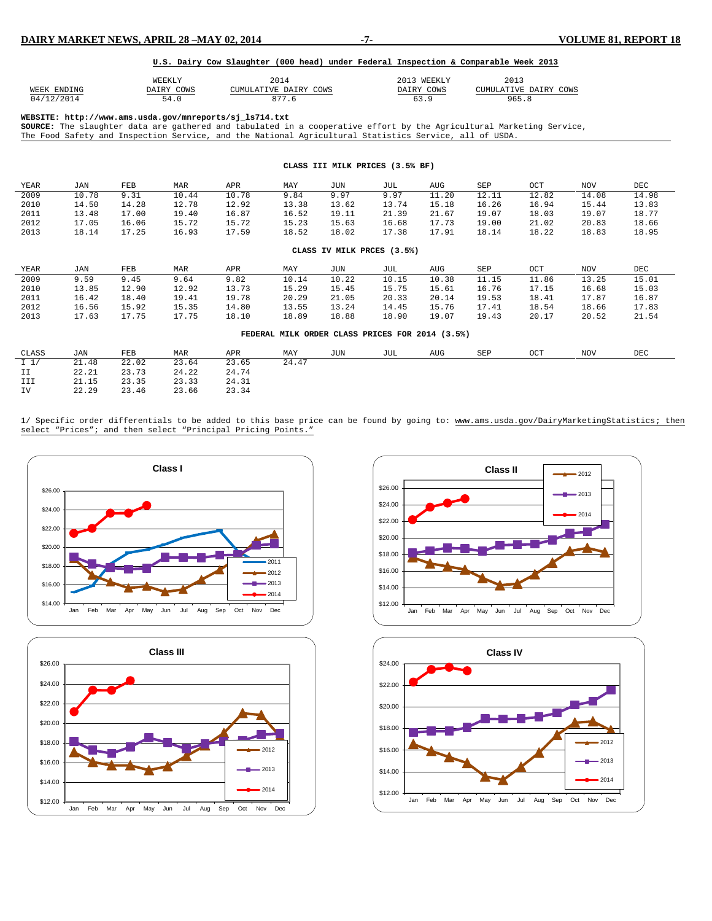#### **U.S. Dairy Cow Slaughter (000 head) under Federal Inspection & Comparable Week 2013**

|             | JEEK LY<br>the contract of the contract of the contract of | 2014                  | 201<br><b>WEEKLY</b> | 2013                  |
|-------------|------------------------------------------------------------|-----------------------|----------------------|-----------------------|
| WEEK ENDING | DAIRY COWS                                                 | CUMULATIVE DAIRY COWS | DAIRY COWS           | CUMULATIVE DAIRY COWS |
| 04/12/2014  | 54.0                                                       |                       | - 63.J               | 965.,                 |

**WEBSITE: http://www.ams.usda.gov/mnreports/sj\_ls714.txt**

**SOURCE:** The slaughter data are gathered and tabulated in a cooperative effort by the Agricultural Marketing Service, The Food Safety and Inspection Service, and the National Agricultural Statistics Service, all of USDA.

| CLASS III MILK PRICES (3.5% BF) |       |       |            |       |       |                                                 |       |       |       |       |            |       |
|---------------------------------|-------|-------|------------|-------|-------|-------------------------------------------------|-------|-------|-------|-------|------------|-------|
| YEAR                            | JAN   | FEB   | <b>MAR</b> | APR   | MAY   | JUN                                             | JUL   | AUG   | SEP   | OCT   | <b>NOV</b> | DEC   |
| 2009                            | 10.78 | 9.31  | 10.44      | 10.78 | 9.84  | 9.97                                            | 9.97  | 11.20 | 12.11 | 12.82 | 14.08      | 14.98 |
| 2010                            | 14.50 | 14.28 | 12.78      | 12.92 | 13.38 | 13.62                                           | 13.74 | 15.18 | 16.26 | 16.94 | 15.44      | 13.83 |
| 2011                            | 13.48 | 17.00 | 19.40      | 16.87 | 16.52 | 19.11                                           | 21.39 | 21.67 | 19.07 | 18.03 | 19.07      | 18.77 |
| 2012                            | 17.05 | 16.06 | 15.72      | 15.72 | 15.23 | 15.63                                           | 16.68 | 17.73 | 19.00 | 21.02 | 20.83      | 18.66 |
| 2013                            | 18.14 | 17.25 | 16.93      | 17.59 | 18.52 | 18.02                                           | 17.38 | 17.91 | 18.14 | 18.22 | 18.83      | 18.95 |
| CLASS IV MILK PRCES (3.5%)      |       |       |            |       |       |                                                 |       |       |       |       |            |       |
| YEAR                            | JAN   | FEB   | MAR        | APR   | MAY   | JUN                                             | JUL   | AUG   | SEP   | OCT   | <b>NOV</b> | DEC   |
| 2009                            | 9.59  | 9.45  | 9.64       | 9.82  | 10.14 | 10.22                                           | 10.15 | 10.38 | 11.15 | 11.86 | 13.25      | 15.01 |
| 2010                            | 13.85 | 12.90 | 12.92      | 13.73 | 15.29 | 15.45                                           | 15.75 | 15.61 | 16.76 | 17.15 | 16.68      | 15.03 |
| 2011                            | 16.42 | 18.40 | 19.41      | 19.78 | 20.29 | 21.05                                           | 20.33 | 20.14 | 19.53 | 18.41 | 17.87      | 16.87 |
| 2012                            | 16.56 | 15.92 | 15.35      | 14.80 | 13.55 | 13.24                                           | 14.45 | 15.76 | 17.41 | 18.54 | 18.66      | 17.83 |
| 2013                            | 17.63 | 17.75 | 17.75      | 18.10 | 18.89 | 18.88                                           | 18.90 | 19.07 | 19.43 | 20.17 | 20.52      | 21.54 |
|                                 |       |       |            |       |       | FEDERAL MILK ORDER CLASS PRICES FOR 2014 (3.5%) |       |       |       |       |            |       |
| CLASS                           | JAN   | FEB   | MAR        | APR   | MAY   | JUN                                             | JUL   | AUG   | SEP   | OCT   | <b>NOV</b> | DEC   |
| I <sub>1</sub>                  | 21.48 | 22.02 | 23.64      | 23.65 | 24.47 |                                                 |       |       |       |       |            |       |
| II                              | 22.21 | 23.73 | 24.22      | 24.74 |       |                                                 |       |       |       |       |            |       |
| III                             | 21.15 | 23.35 | 23.33      | 24.31 |       |                                                 |       |       |       |       |            |       |
| IV                              | 22.29 | 23.46 | 23.66      | 23.34 |       |                                                 |       |       |       |       |            |       |

1/ Specific order differentials to be added to this base price can be found by going to: [www.ams.usda.gov/DairyMarketingStatistics;](http://www.ams.usda.gov/DairyMarketingStatistics) then select "Prices"; and then select "Principal Pricing Points."







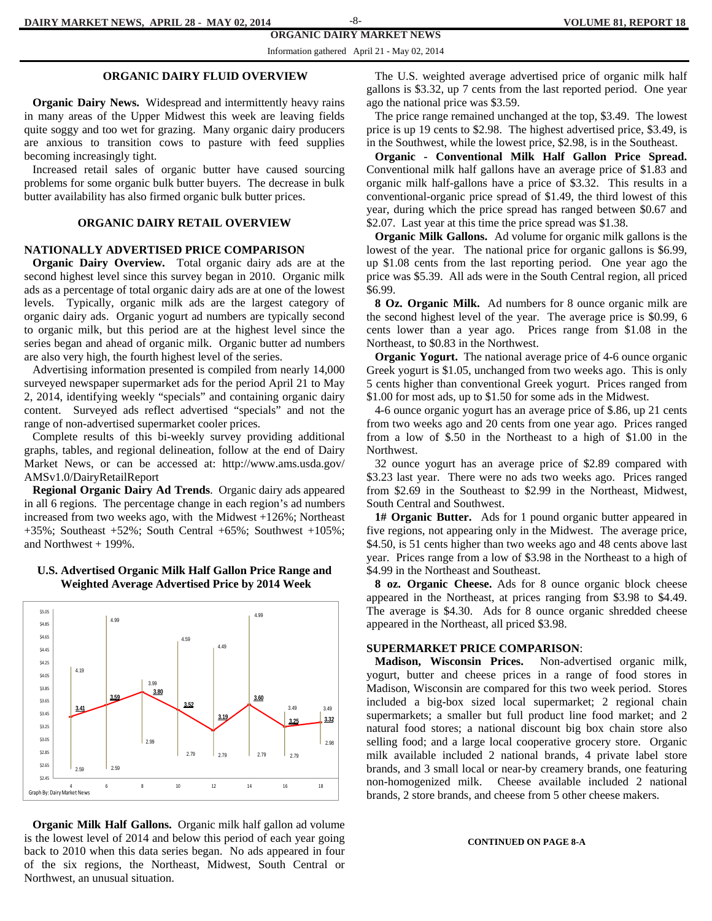#### **ORGANIC DAIRY MARKET NEWS**  -8-

Information gathered April 21 - May 02, 2014

#### **ORGANIC DAIRY FLUID OVERVIEW**

 **Organic Dairy News.** Widespread and intermittently heavy rains in many areas of the Upper Midwest this week are leaving fields quite soggy and too wet for grazing. Many organic dairy producers are anxious to transition cows to pasture with feed supplies becoming increasingly tight.

 Increased retail sales of organic butter have caused sourcing problems for some organic bulk butter buyers. The decrease in bulk butter availability has also firmed organic bulk butter prices.

#### **ORGANIC DAIRY RETAIL OVERVIEW**

#### **NATIONALLY ADVERTISED PRICE COMPARISON**

 **Organic Dairy Overview.** Total organic dairy ads are at the second highest level since this survey began in 2010. Organic milk ads as a percentage of total organic dairy ads are at one of the lowest levels. Typically, organic milk ads are the largest category of organic dairy ads. Organic yogurt ad numbers are typically second to organic milk, but this period are at the highest level since the series began and ahead of organic milk. Organic butter ad numbers are also very high, the fourth highest level of the series.

 Advertising information presented is compiled from nearly 14,000 surveyed newspaper supermarket ads for the period April 21 to May 2, 2014, identifying weekly "specials" and containing organic dairy content. Surveyed ads reflect advertised "specials" and not the range of non-advertised supermarket cooler prices.

 Complete results of this bi-weekly survey providing additional graphs, tables, and regional delineation, follow at the end of Dairy Market News, or can be accessed at: http://www.ams.usda.gov/ AMSv1.0/DairyRetailReport

 **Regional Organic Dairy Ad Trends**. Organic dairy ads appeared in all 6 regions. The percentage change in each region's ad numbers increased from two weeks ago, with the Midwest +126%; Northeast +35%; Southeast +52%; South Central +65%; Southwest +105%; and Northwest + 199%.



#### **U.S. Advertised Organic Milk Half Gallon Price Range and Weighted Average Advertised Price by 2014 Week**

 **Organic Milk Half Gallons.** Organic milk half gallon ad volume is the lowest level of 2014 and below this period of each year going back to 2010 when this data series began. No ads appeared in four of the six regions, the Northeast, Midwest, South Central or Northwest, an unusual situation.

 The U.S. weighted average advertised price of organic milk half gallons is \$3.32, up 7 cents from the last reported period. One year ago the national price was \$3.59.

 The price range remained unchanged at the top, \$3.49. The lowest price is up 19 cents to \$2.98. The highest advertised price, \$3.49, is in the Southwest, while the lowest price, \$2.98, is in the Southeast.

 **Organic - Conventional Milk Half Gallon Price Spread.** Conventional milk half gallons have an average price of \$1.83 and organic milk half-gallons have a price of \$3.32. This results in a conventional-organic price spread of \$1.49, the third lowest of this year, during which the price spread has ranged between \$0.67 and \$2.07. Last year at this time the price spread was \$1.38.

 **Organic Milk Gallons.** Ad volume for organic milk gallons is the lowest of the year.The national price for organic gallons is \$6.99, up \$1.08 cents from the last reporting period. One year ago the price was \$5.39. All ads were in the South Central region, all priced \$6.99.

 **8 Oz. Organic Milk.** Ad numbers for 8 ounce organic milk are the second highest level of the year. The average price is \$0.99, 6 cents lower than a year ago. Prices range from \$1.08 in the Northeast, to \$0.83 in the Northwest.

 **Organic Yogurt.** The national average price of 4-6 ounce organic Greek yogurt is \$1.05, unchanged from two weeks ago. This is only 5 cents higher than conventional Greek yogurt. Prices ranged from \$1.00 for most ads, up to \$1.50 for some ads in the Midwest.

 4-6 ounce organic yogurt has an average price of \$.86, up 21 cents from two weeks ago and 20 cents from one year ago. Prices ranged from a low of \$.50 in the Northeast to a high of \$1.00 in the Northwest.

 32 ounce yogurt has an average price of \$2.89 compared with \$3.23 last year. There were no ads two weeks ago. Prices ranged from \$2.69 in the Southeast to \$2.99 in the Northeast, Midwest, South Central and Southwest.

 **1# Organic Butter.** Ads for 1 pound organic butter appeared in five regions, not appearing only in the Midwest. The average price, \$4.50, is 51 cents higher than two weeks ago and 48 cents above last year. Prices range from a low of \$3.98 in the Northeast to a high of \$4.99 in the Northeast and Southeast.

 **8 oz. Organic Cheese.** Ads for 8 ounce organic block cheese appeared in the Northeast, at prices ranging from \$3.98 to \$4.49. The average is \$4.30. Ads for 8 ounce organic shredded cheese appeared in the Northeast, all priced \$3.98.

#### **SUPERMARKET PRICE COMPARISON**:

 **Madison, Wisconsin Prices.** Non-advertised organic milk, yogurt, butter and cheese prices in a range of food stores in Madison, Wisconsin are compared for this two week period. Stores included a big-box sized local supermarket; 2 regional chain supermarkets; a smaller but full product line food market; and 2 natural food stores; a national discount big box chain store also selling food; and a large local cooperative grocery store. Organic milk available included 2 national brands, 4 private label store brands, and 3 small local or near-by creamery brands, one featuring non-homogenized milk. Cheese available included 2 national brands, 2 store brands, and cheese from 5 other cheese makers.

#### **CONTINUED ON PAGE 8-A**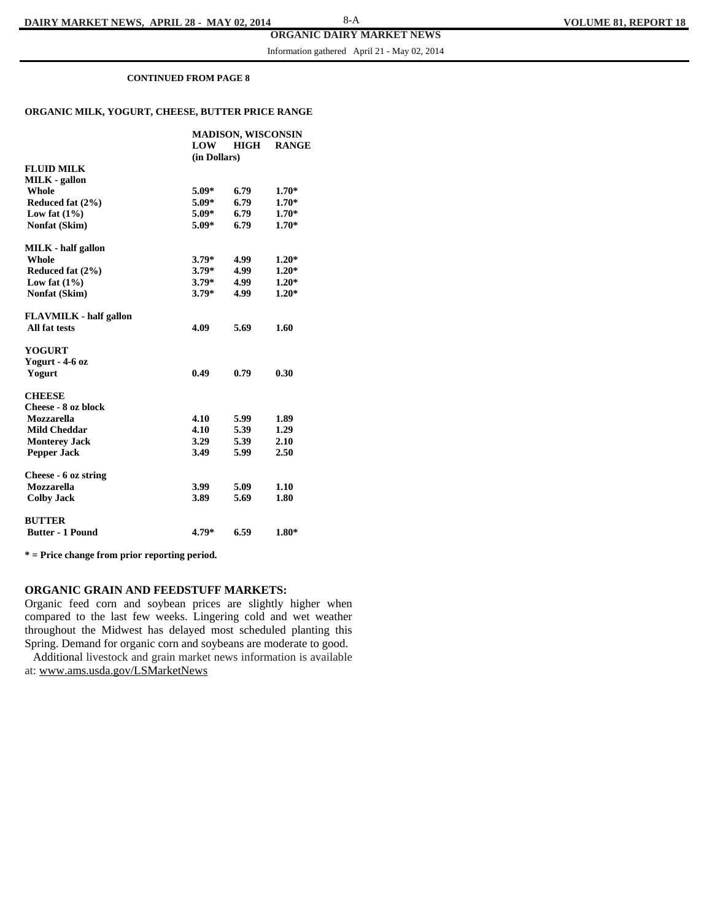Information gathered April 21 - May 02, 2014

#### **CONTINUED FROM PAGE 8**

#### **ORGANIC MILK, YOGURT, CHEESE, BUTTER PRICE RANGE**

|                               | LOW          | <b>MADISON, WISCONSIN</b><br>HIGH | <b>RANGE</b> |
|-------------------------------|--------------|-----------------------------------|--------------|
|                               | (in Dollars) |                                   |              |
| <b>FLUID MILK</b>             |              |                                   |              |
| <b>MILK</b> - gallon          |              |                                   |              |
| Whole                         | $5.09*$      | 6.79                              | $1.70*$      |
| Reduced fat (2%)              | $5.09*$      | 6.79                              | $1.70*$      |
| Low fat $(1\%)$               | $5.09*$      | 6.79                              | $1.70*$      |
| Nonfat (Skim)                 | $5.09*$      | 6.79                              | $1.70*$      |
| <b>MILK</b> - half gallon     |              |                                   |              |
| <b>Whole</b>                  | $3.79*$      | 4.99                              | $1.20*$      |
| Reduced fat (2%)              | $3.79*$      | 4.99                              | $1.20*$      |
| Low fat $(1\%)$               | $3.79*$      | 4.99                              | $1.20*$      |
| Nonfat (Skim)                 | $3.79*$      | 4.99                              | $1.20*$      |
| <b>FLAVMILK - half gallon</b> |              |                                   |              |
| All fat tests                 | 4.09         | 5.69                              | 1.60         |
| <b>YOGURT</b>                 |              |                                   |              |
| Yogurt - 4-6 oz               |              |                                   |              |
| Yogurt                        | 0.49         | 0.79                              | 0.30         |
| <b>CHEESE</b>                 |              |                                   |              |
| Cheese - 8 oz block           |              |                                   |              |
| <b>Mozzarella</b>             | 4.10         | 5.99                              | 1.89         |
| <b>Mild Cheddar</b>           | 4.10         | 5.39                              | 1.29         |
| <b>Monterey Jack</b>          | 3.29         | 5.39                              | 2.10         |
| <b>Pepper Jack</b>            | 3.49         | 5.99                              | 2.50         |
| Cheese - 6 oz string          |              |                                   |              |
| Mozzarella                    | 3.99         | 5.09                              | 1.10         |
| <b>Colby Jack</b>             | 3.89         | 5.69                              | 1.80         |
| <b>BUTTER</b>                 |              |                                   |              |
| <b>Butter - 1 Pound</b>       | 4.79*        | 6.59                              | $1.80*$      |

**\* = Price change from prior reporting period.** 

#### **ORGANIC GRAIN AND FEEDSTUFF MARKETS:**

Organic feed corn and soybean prices are slightly higher when compared to the last few weeks. Lingering cold and wet weather throughout the Midwest has delayed most scheduled planting this Spring. Demand for organic corn and soybeans are moderate to good.

 Additional livestock and grain market news information is available at: www.ams.usda.gov/LSMarketNews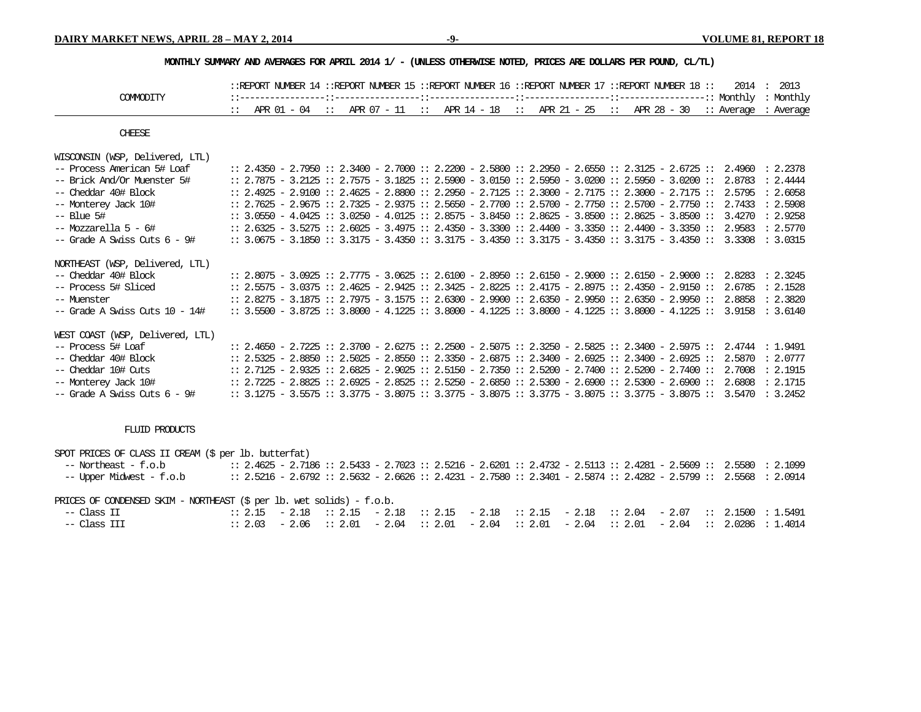#### **MONTHLY SUMMARY AND AVERAGES FOR APRIL 2014 1/ - (UNLESS OTHERWISE NOTED, PRICES ARE DOLLARS PER POUND, CL/TL)**

|                                   |  |  | ::REPORT NUMBER 14 ::REPORT NUMBER 15 ::REPORT NUMBER 16 ::REPORT NUMBER 17 ::REPORT NUMBER 18 ::                   |  |  |  |  |  |  |  | 2014   | : 2013    |
|-----------------------------------|--|--|---------------------------------------------------------------------------------------------------------------------|--|--|--|--|--|--|--|--------|-----------|
| COMMODITY                         |  |  |                                                                                                                     |  |  |  |  |  |  |  |        | : Monthly |
|                                   |  |  | :: APR $01 - 04$ :: APR $07 - 11$ :: APR $14 - 18$ :: APR $21 - 25$ :: APR $28 - 30$ :: Average                     |  |  |  |  |  |  |  |        | : Average |
| <b>CHEESE</b>                     |  |  |                                                                                                                     |  |  |  |  |  |  |  |        |           |
| WISCONSIN (WSP, Delivered, LTL)   |  |  |                                                                                                                     |  |  |  |  |  |  |  |        |           |
| -- Process American 5# Loaf       |  |  | $: 2.4350 - 2.7950 :: 2.3400 - 2.7000 :: 2.2200 - 2.5800 :: 2.2950 - 2.6550 :: 2.3125 - 2.6725 :: 2.4960$           |  |  |  |  |  |  |  |        | : 2.2378  |
| -- Brick And/Or Muenster 5#       |  |  | $: 2.7875 - 3.2125 :: 2.7575 - 3.1825 :: 2.5900 - 3.0150 :: 2.5950 - 3.0200 :: 2.5950 - 3.0200 :: 2.8783$           |  |  |  |  |  |  |  |        | : 2.4444  |
| -- Cheddar 40# Block              |  |  | $: 2.4925 - 2.9100 :: 2.4625 - 2.8800 :: 2.2950 - 2.7125 :: 2.3000 - 2.7175 :: 2.3000 - 2.7175 ::$                  |  |  |  |  |  |  |  | 2.5795 | : 2.6058  |
| -- Monterey Jack 10#              |  |  | $: 2.7625 - 2.9675 :: 2.7325 - 2.9375 :: 2.5650 - 2.7700 :: 2.5700 - 2.7750 :: 2.5700 - 2.7750 :: 2.7433$           |  |  |  |  |  |  |  |        | : 2.5908  |
| $--$ Blue 5#                      |  |  | $: 3.0550 - 4.0425 :: 3.0250 - 4.0125 :: 2.8575 - 3.8450 :: 2.8625 - 3.8500 :: 2.8625 - 3.8500 :: 3.4270$           |  |  |  |  |  |  |  |        | : 2.9258  |
| $--$ Mozzarella 5 - 6#            |  |  | $: 2.6325 - 3.5275 :: 2.6025 - 3.4975 :: 2.4350 - 3.3300 :: 2.4400 - 3.3350 :: 2.4400 - 3.3350 :: 2.9583$           |  |  |  |  |  |  |  |        | : 2.5770  |
| $-$ Grade A Swiss Cuts $6 - 9\#$  |  |  | $: 3.0675 - 3.1850 :: 3.3175 - 3.4350 :: 3.3175 - 3.4350 :: 3.3175 - 3.4350 :: 3.3175 - 3.4350 :: 3.3308$           |  |  |  |  |  |  |  |        | : 3.0315  |
| NORTHEAST (WSP, Delivered, LTL)   |  |  |                                                                                                                     |  |  |  |  |  |  |  |        |           |
| -- Cheddar 40# Block              |  |  | $: 2.8075 - 3.0925 :: 2.7775 - 3.0625 :: 2.6100 - 2.8950 :: 2.6150 - 2.9000 :: 2.6150 - 2.9000 :: 2.8283$           |  |  |  |  |  |  |  |        | : 2.3245  |
| -- Process 5# Sliced              |  |  | $: 2.5575 - 3.0375 :: 2.4625 - 2.9425 :: 2.3425 - 2.8225 :: 2.4175 - 2.8975 :: 2.4350 - 2.9150 :: 2.6785$           |  |  |  |  |  |  |  |        | : 2.1528  |
| -- Muenster                       |  |  | $: 2.8275 - 3.1875 :: 2.7975 - 3.1575 :: 2.6300 - 2.9900 :: 2.6350 - 2.9950 :: 2.6350 - 2.9950 :: 2.8858$           |  |  |  |  |  |  |  |        | : 2.3820  |
| -- Grade A Swiss Cuts 10 - 14#    |  |  | $: 3.5500 - 3.8725 :: 3.8000 - 4.1225 :: 3.8000 - 4.1225 :: 3.8000 - 4.1225 :: 3.8000 - 4.1225 :: 3.9158$           |  |  |  |  |  |  |  |        | : 3.6140  |
| WEST COAST (WSP, Delivered, LTL)  |  |  |                                                                                                                     |  |  |  |  |  |  |  |        |           |
| -- Process 5# Loaf                |  |  | $: 2.4650 - 2.7225 :: 2.3700 - 2.6275 :: 2.2500 - 2.5075 :: 2.3250 - 2.5825 :: 2.3400 - 2.5975 :: 2.4744$           |  |  |  |  |  |  |  |        | : 1.9491  |
| -- Cheddar 40# Block              |  |  | $: 2.5325 - 2.8850 :: 2.5025 - 2.8550 :: 2.3350 - 2.6875 :: 2.3400 - 2.6925 :: 2.3400 - 2.6925 :: 2.5870$           |  |  |  |  |  |  |  |        | : 2.0777  |
| -- Cheddar 10# Cuts               |  |  | $: 2.7125$ - $2.9325 :: 2.6825$ - $2.9025 :: 2.5150$ - $2.7350 :: 2.5200$ - $2.7400 :: 2.5200$ - $2.7400 :: 2.7008$ |  |  |  |  |  |  |  |        | : 2.1915  |
| -- Monterey Jack 10#              |  |  | $: 2.7225 - 2.8825 :: 2.6925 - 2.8525 :: 2.5250 - 2.6850 :: 2.5300 - 2.6900 :: 2.5300 - 2.6900 ::$                  |  |  |  |  |  |  |  | 2.6808 | : 2.1715  |
| $--$ Grade A Swiss Cuts $6 - 9\#$ |  |  | $: 3.1275 - 3.5575 :: 3.3775 - 3.8075 :: 3.3775 - 3.8075 :: 3.3775 - 3.8075 :: 3.3775 - 3.8075 :: 3.5470$           |  |  |  |  |  |  |  |        | : 3.2452  |

#### FLUID PRODUCTS

SPOT PRICES OF CLASS II CREAM (\$ per lb. butterfat)

 -- Northeast - f.o.b :: 2.4625 - 2.7186 :: 2.5433 - 2.7023 :: 2.5216 - 2.6201 :: 2.4732 - 2.5113 :: 2.4281 - 2.5609 :: 2.5580 : 2.1099 -- Upper Midwest - f.o.b :: 2.5216 - 2.6792 :: 2.5632 - 2.6626 :: 2.4231 - 2.7580 :: 2.3401 - 2.5874 :: 2.4282 - 2.5799 :: 2.5568 : 2.0914

#### PRICES OF CONDENSED SKIM - NORTHEAST (\$ per lb. wet solids) - f.o.b.

| -- Class II  |  |  |  |  |  |  | :: 2.15 $-$ 2.18 :: 2.15 $-$ 2.18 :: 2.15 $-$ 2.18 :: 2.15 $-$ 2.18 :: 2.04 $-$ 2.07 :: 2.1500 : 1.5491 |
|--------------|--|--|--|--|--|--|---------------------------------------------------------------------------------------------------------|
| -- Class III |  |  |  |  |  |  | :: 2.03 - 2.06 :: 2.01 - 2.04 :: 2.01 - 2.04 :: 2.01 - 2.04 :: 2.01 - 2.04 :: 2.0286 : 1.4014           |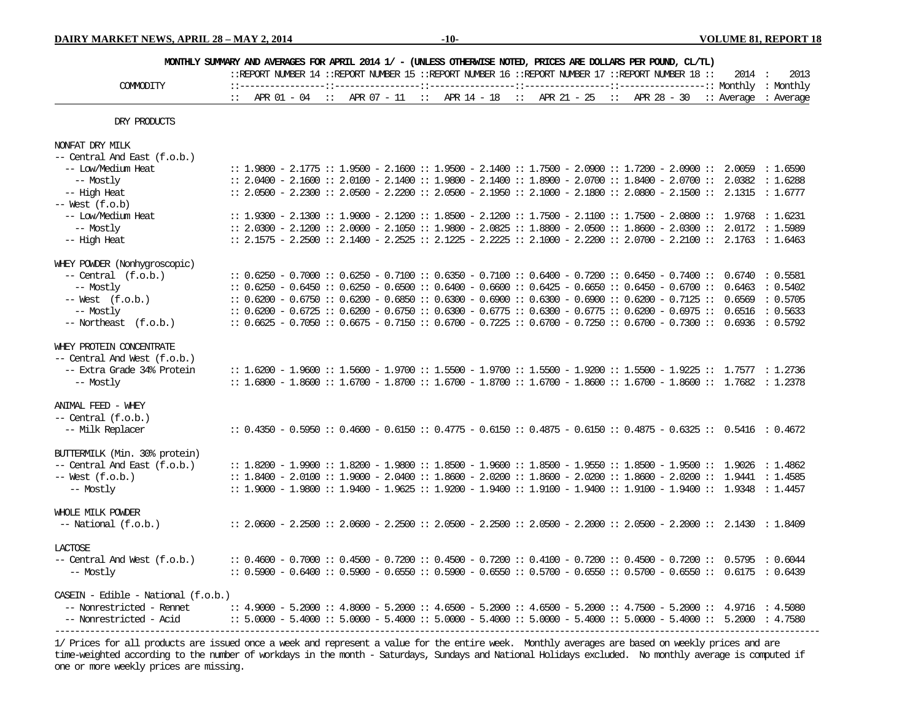| MONTHLY SUMMARY AND AVERAGES FOR APRIL 2014 1/ - (UNLESS OTHERWISE NOTED, PRICES ARE DOLLARS PER POUND, CL/TL) |  |  |  |  |  |  |  |  |                                                                                                        |  |  |  |        |                                                                                                                      |
|----------------------------------------------------------------------------------------------------------------|--|--|--|--|--|--|--|--|--------------------------------------------------------------------------------------------------------|--|--|--|--------|----------------------------------------------------------------------------------------------------------------------|
|                                                                                                                |  |  |  |  |  |  |  |  | :: REPORT NUMBER 14 :: REPORT NUMBER 15 :: REPORT NUMBER 16 :: REPORT NUMBER 17 :: REPORT NUMBER 18 :: |  |  |  | 2014 : | 2013                                                                                                                 |
| COMMODITY                                                                                                      |  |  |  |  |  |  |  |  |                                                                                                        |  |  |  |        | :: APR $01 - 04$ :: APR $07 - 11$ :: APR $14 - 18$ :: APR $21 - 25$ :: APR $28 - 30$ :: Average : Average            |
| DRY PRODUCTS                                                                                                   |  |  |  |  |  |  |  |  |                                                                                                        |  |  |  |        |                                                                                                                      |
| NONFAT DRY MILK                                                                                                |  |  |  |  |  |  |  |  |                                                                                                        |  |  |  |        |                                                                                                                      |
| -- Central And East (f.o.b.)                                                                                   |  |  |  |  |  |  |  |  |                                                                                                        |  |  |  |        |                                                                                                                      |
| -- Low/Medium Heat                                                                                             |  |  |  |  |  |  |  |  |                                                                                                        |  |  |  |        | $: 1.9800 - 2.1775 :: 1.9500 - 2.1600 :: 1.9500 - 2.1400 :: 1.7500 - 2.0900 :: 1.7200 - 2.0900 :: 2.0059 :: 1.6590$  |
| -- Mostly                                                                                                      |  |  |  |  |  |  |  |  |                                                                                                        |  |  |  |        | $: 2.0400 - 2.1600 :: 2.0100 - 2.1400 :: 1.9800 - 2.1400 :: 1.8900 - 2.0700 :: 1.8400 - 2.0700 :: 2.0382 :: 1.6288$  |
| -- High Heat                                                                                                   |  |  |  |  |  |  |  |  |                                                                                                        |  |  |  |        | $: 2.0500 - 2.2300 :: 2.0500 - 2.2200 :: 2.0500 - 2.1950 :: 2.1000 - 2.1800 :: 2.0800 - 2.1500 :: 2.1315 :: 1.6777$  |
| $--$ West $(f.o.b)$                                                                                            |  |  |  |  |  |  |  |  |                                                                                                        |  |  |  |        |                                                                                                                      |
| -- Low/Medium Heat                                                                                             |  |  |  |  |  |  |  |  |                                                                                                        |  |  |  |        | $: 1.9300 - 2.1300 :: 1.9000 - 2.1200 :: 1.8500 - 2.1200 :: 1.7500 - 2.1100 :: 1.7500 - 2.0800 :: 1.9768 :: 1.6231$  |
| -- Mostly                                                                                                      |  |  |  |  |  |  |  |  |                                                                                                        |  |  |  |        | $: 2.0300 - 2.1200 :: 2.0000 - 2.1050 :: 1.9800 - 2.0825 :: 1.8800 - 2.0500 :: 1.8600 - 2.0300 :: 2.0172 :: 1.5989$  |
| -- High Heat                                                                                                   |  |  |  |  |  |  |  |  |                                                                                                        |  |  |  |        | $: 2.1575 - 2.2500 :: 2.1400 - 2.2525 :: 2.1225 - 2.2225 :: 2.1000 - 2.2200 :: 2.0700 - 2.2100 :: 2.1763 :: 1.6463$  |
| WHEY POWDER (Nonhygroscopic)                                                                                   |  |  |  |  |  |  |  |  |                                                                                                        |  |  |  |        |                                                                                                                      |
| $--$ Central $(f.o.b.)$                                                                                        |  |  |  |  |  |  |  |  |                                                                                                        |  |  |  |        | $: 0.6250 - 0.7000 :: 0.6250 - 0.7100 :: 0.6350 - 0.7100 :: 0.6400 - 0.7200 :: 0.6450 - 0.7400 :: 0.6740 : 0.5581$   |
| -- Mostly                                                                                                      |  |  |  |  |  |  |  |  |                                                                                                        |  |  |  |        | $: 0.6250 - 0.6450 :: 0.6250 - 0.6500 :: 0.6400 - 0.6600 :: 0.6425 - 0.6650 :: 0.6450 - 0.6700 :: 0.6463 :: 0.5402$  |
| $--$ West $(f.o.b.)$                                                                                           |  |  |  |  |  |  |  |  |                                                                                                        |  |  |  |        | $: 0.6200 - 0.6750 :: 0.6200 - 0.6850 :: 0.6300 - 0.6900 :: 0.6300 - 0.6900 :: 0.6200 - 0.7125 :: 0.6569 :: 0.5705$  |
| -- Mostly                                                                                                      |  |  |  |  |  |  |  |  |                                                                                                        |  |  |  |        | $: 0.6200 - 0.6725 :: 0.6200 - 0.6750 :: 0.6300 - 0.6775 :: 0.6300 - 0.6775 :: 0.6200 - 0.6975 :: 0.6516 :: 0.5633$  |
| -- Northeast (f.o.b.)                                                                                          |  |  |  |  |  |  |  |  |                                                                                                        |  |  |  |        | $: 0.6625 - 0.7050 :: 0.6675 - 0.7150 :: 0.6700 - 0.7225 :: 0.6700 - 0.7250 :: 0.6700 - 0.7300 :: 0.6936 :: 0.5792$  |
| WHEY PROTEIN CONCENTRATE                                                                                       |  |  |  |  |  |  |  |  |                                                                                                        |  |  |  |        |                                                                                                                      |
| -- Central And West (f.o.b.)                                                                                   |  |  |  |  |  |  |  |  |                                                                                                        |  |  |  |        |                                                                                                                      |
| -- Extra Grade 34% Protein                                                                                     |  |  |  |  |  |  |  |  |                                                                                                        |  |  |  |        | $: 1.6200 - 1.9600 :: 1.5600 - 1.9700 :: 1.5500 - 1.9700 :: 1.5500 - 1.9200 :: 1.5500 - 1.9225 :: 1.7577 :: 1.2736$  |
| -- Mostly                                                                                                      |  |  |  |  |  |  |  |  |                                                                                                        |  |  |  |        | $: 1.6800 - 1.8600 :: 1.6700 - 1.8700 :: 1.6700 - 1.8700 :: 1.6700 - 1.8600 :: 1.6700 - 1.8600 :: 1.7682 :: 1.2378$  |
| ANIMAL FEED - WHEY                                                                                             |  |  |  |  |  |  |  |  |                                                                                                        |  |  |  |        |                                                                                                                      |
| $--$ Central $(f.o.b.)$                                                                                        |  |  |  |  |  |  |  |  |                                                                                                        |  |  |  |        |                                                                                                                      |
| -- Milk Replacer                                                                                               |  |  |  |  |  |  |  |  |                                                                                                        |  |  |  |        | $: 0.4350 - 0.5950 :: 0.4600 - 0.6150 :: 0.4775 - 0.6150 :: 0.4875 - 0.6150 :: 0.4875 - 0.6325 :: 0.5416 :: 0.4672$  |
| BUTTERMILK (Min. 30% protein)                                                                                  |  |  |  |  |  |  |  |  |                                                                                                        |  |  |  |        |                                                                                                                      |
| -- Central And East (f.o.b.)                                                                                   |  |  |  |  |  |  |  |  |                                                                                                        |  |  |  |        | $:: 1.8200 - 1.9900 :: 1.8200 - 1.9800 :: 1.8500 - 1.9600 :: 1.8500 - 1.9550 :: 1.8500 - 1.9500 :: 1.9026 :: 1.4862$ |
| $--$ West $(f.o.b.)$                                                                                           |  |  |  |  |  |  |  |  |                                                                                                        |  |  |  |        | $: 1.8400 - 2.0100 :: 1.9000 - 2.0400 :: 1.8600 - 2.0200 :: 1.8600 - 2.0200 :: 1.8600 - 2.0200 :: 1.9441 :: 1.4585$  |
| -- Mostly                                                                                                      |  |  |  |  |  |  |  |  |                                                                                                        |  |  |  |        | $: 1.9000 - 1.9800 :: 1.9400 - 1.9625 :: 1.9200 - 1.9400 :: 1.9100 - 1.9400 :: 1.9100 - 1.9400 :: 1.9348 :: 1.4457$  |
| WHOLE MILK POWDER                                                                                              |  |  |  |  |  |  |  |  |                                                                                                        |  |  |  |        |                                                                                                                      |
| $-- National (f.o.b.)$                                                                                         |  |  |  |  |  |  |  |  |                                                                                                        |  |  |  |        | $: 2.0600 - 2.2500 :: 2.0600 - 2.2500 :: 2.0500 - 2.2500 :: 2.0500 - 2.2000 :: 2.0500 - 2.2000 :: 2.1430 :: 1.8409$  |
| <b>LACTOSE</b>                                                                                                 |  |  |  |  |  |  |  |  |                                                                                                        |  |  |  |        |                                                                                                                      |
| -- Central And West (f.o.b.)                                                                                   |  |  |  |  |  |  |  |  |                                                                                                        |  |  |  |        | $: 0.4600 - 0.7000 :: 0.4500 - 0.7200 :: 0.4500 - 0.7200 :: 0.4100 - 0.7200 :: 0.4500 - 0.7200 :: 0.5795 :: 0.6044$  |
| -- Mostly                                                                                                      |  |  |  |  |  |  |  |  |                                                                                                        |  |  |  |        | $: 0.5900 - 0.6400 :: 0.5900 - 0.6550 :: 0.5900 - 0.6550 :: 0.5700 - 0.6550 :: 0.5700 - 0.6550 :: 0.6175 :: 0.6439$  |
| $CASEIN - Edible - National (f.o.b.)$                                                                          |  |  |  |  |  |  |  |  |                                                                                                        |  |  |  |        |                                                                                                                      |
| -- Nonrestricted - Rennet                                                                                      |  |  |  |  |  |  |  |  |                                                                                                        |  |  |  |        | $: 4.9000 - 5.2000 :: 4.8000 - 5.2000 :: 4.6500 - 5.2000 :: 4.6500 - 5.2000 :: 4.7500 - 5.2000 :: 4.9716 :: 4.5080$  |
| -- Nonrestricted - Acid                                                                                        |  |  |  |  |  |  |  |  |                                                                                                        |  |  |  |        | $: 5.0000 - 5.4000 :: 5.0000 - 5.4000 :: 5.0000 - 5.4000 :: 5.0000 - 5.4000 :: 5.0000 - 5.4000 :: 5.2000 :: 5.2000$  |
|                                                                                                                |  |  |  |  |  |  |  |  |                                                                                                        |  |  |  |        |                                                                                                                      |

1/ Prices for all products are issued once a week and represent a value for the entire week. Monthly averages are based on weekly prices and are time-weighted according to the number of workdays in the month - Saturdays, Sundays and National Holidays excluded. No monthly average is computed if one or more weekly prices are missing.

---------------------------------------------------------------------------------------------------------------------------------------------------------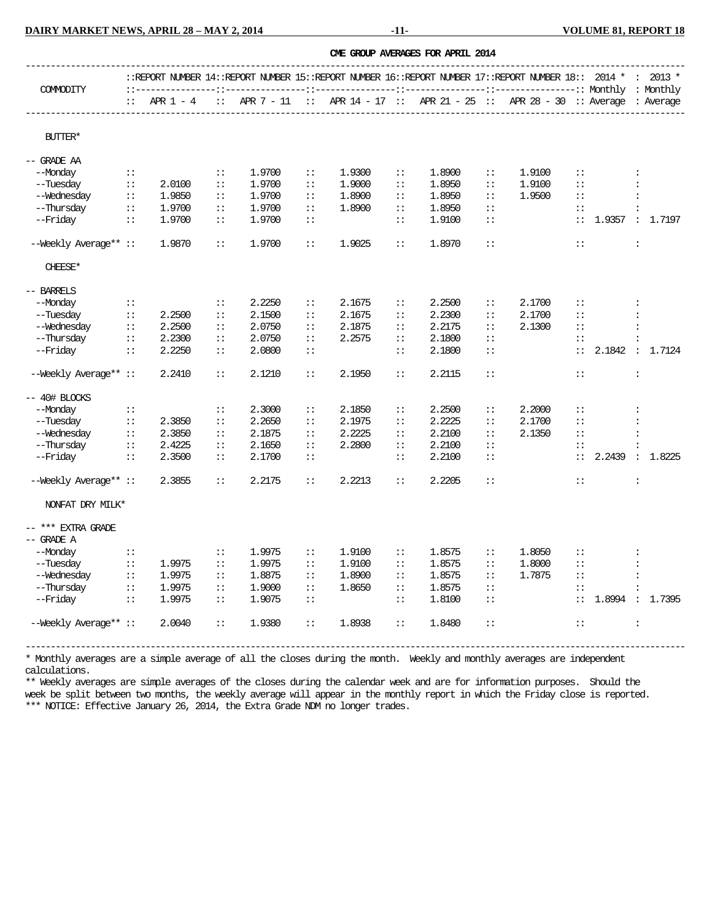**DAIRY MARKET NEWS, APRIL 28 – MAY 2, 2014 -11- 11- 12-11-** VOLUME 81, REPORT 18

|                       |              |        |                                                                                                                     |        |                           |        |                           | OME GROUP AVERAGES FOR APRIL 2014 |                |                                                                                           |                           |                 |                      |          |
|-----------------------|--------------|--------|---------------------------------------------------------------------------------------------------------------------|--------|---------------------------|--------|---------------------------|-----------------------------------|----------------|-------------------------------------------------------------------------------------------|---------------------------|-----------------|----------------------|----------|
|                       |              |        | $:$ FREPORT NUMBER 14: FREPORT NUMBER 15: FREPORT NUMBER 16: FREPORT NUMBER 17: FREPORT NUMBER 18:: 2014 * : 2013 * |        |                           |        |                           |                                   |                |                                                                                           |                           |                 |                      |          |
| <b>COMMODITY</b>      | $\mathbf{H}$ |        |                                                                                                                     |        |                           |        |                           |                                   |                | APR 1 - 4 :: APR 7 - 11 :: APR 14 - 17 :: APR 21 - 25 :: APR 28 - 30 :: Average : Average |                           |                 |                      |          |
| <b>BUTTER*</b>        |              |        |                                                                                                                     |        |                           |        |                           |                                   |                |                                                                                           |                           |                 |                      |          |
| -- GRADE AA           |              |        |                                                                                                                     |        |                           |        |                           |                                   |                |                                                                                           |                           |                 |                      |          |
| --Monday              | $\mathbf{1}$ |        | $\mathbf{1}$                                                                                                        | 1.9700 | $\vdots$                  | 1.9300 | $\mathbb{R}^2$            | 1.8900                            | $\vdots$       | 1,9100                                                                                    | $\vdots$                  |                 | $\ddot{\cdot}$       |          |
| --Tuesday             | $\div$ :     | 2.0100 | $\mathbf{H}$                                                                                                        | 1.9700 | $\vdots$                  | 1.9000 | $\mathbf{H}$              | 1.8950                            | $\vdots$       | 1.9100                                                                                    | $\vdots$                  |                 |                      |          |
| --Wednesday           | $\mathbf{H}$ | 1.9850 | $\mathbf{H}$                                                                                                        | 1.9700 | $\mathbb{I}$              | 1.8900 | $\mathbf{H}$              | 1.8950                            | $\vdots$       | 1.9500                                                                                    | $\mathbf{H}$              |                 | $\ddot{\cdot}$       |          |
| --Thursday            | $\vdots$     | 1.9700 | $\vdots$                                                                                                            | 1.9700 | $\vdots$                  | 1.8900 | $\mathbf{H}$              | 1.8950                            | $\vdots$       |                                                                                           | $\mathbf{H}$              |                 |                      |          |
| --Friday              | $\vdots$     | 1.9700 | $\mathbf{H}$                                                                                                        | 1.9700 | $\vdots$                  |        | $\vdots$                  | 1.9100                            | $\vdots$       |                                                                                           | $\vdots$                  | 1.9357 : 1.7197 |                      |          |
| --Weekly Average** :: |              | 1.9870 | $\mathbb{I}$                                                                                                        | 1.9700 | $\vdots$                  | 1.9025 | $\mathbb{R}^{\mathbb{Z}}$ | 1.8970                            | $\colon\colon$ |                                                                                           | $\vdots$                  |                 | $\colon$             |          |
| CHEESE*               |              |        |                                                                                                                     |        |                           |        |                           |                                   |                |                                                                                           |                           |                 |                      |          |
| -- BARRELS            |              |        |                                                                                                                     |        |                           |        |                           |                                   |                |                                                                                           |                           |                 |                      |          |
| --Monday              | $\mathbf{1}$ |        | $\mathbf{H}$                                                                                                        | 2.2250 | $\vdots$                  | 2.1675 | $\mathbf{H}$              | 2.2500                            | $\vdots$       | 2.1700                                                                                    | $\vdots$                  |                 | $\ddot{\cdot}$       |          |
| --Tuesday             | $\div$ :     | 2.2500 | $\mathbf{H}$                                                                                                        | 2.1500 | $\vdots$                  | 2.1675 | $\vdots$                  | 2.2300                            | $\vdots$       | 2.1700                                                                                    | $\mathbf{H}$              |                 | $\ddot{\cdot}$       |          |
| --Wednesday           | $\div$ :     | 2.2500 | $\mathbf{H}$                                                                                                        | 2.0750 | $\vdots$                  | 2.1875 | $\mathbf{H}$              | 2.2175                            | $\vdots$       | 2.1300                                                                                    | $\vdots$                  |                 | $\ddot{\cdot}$       |          |
| --Thursday            | $\div$ :     | 2.2300 | $\vdots$                                                                                                            | 2.0750 | $\vdots$                  | 2.2575 | $\mathbb{I}$              | 2.1800                            | $\vdots$       |                                                                                           | $\colon$ :                |                 |                      |          |
| --Friday              | $\mathbf{1}$ | 2.2250 | $\mathbf{H}$                                                                                                        | 2.0800 | $\mathbb{R}^2$            |        | $\mathbf{H}$              | 2.1800                            | $\vdots$       |                                                                                           | $\mathbb{R}^{\mathbb{Z}}$ | 2.1842 : 1.7124 |                      |          |
| --Weekly Average** :: |              | 2.2410 | $\mathbb{R}$                                                                                                        | 2.1210 | $\vdots$                  | 2.1950 | $\mathbb{R}^{\mathbb{Z}}$ | 2.2115                            | $\mathbf{H}$   |                                                                                           | $\mathbb{I}$              |                 | $\ddot{\cdot}$       |          |
| -- 40# BLOCKS         |              |        |                                                                                                                     |        |                           |        |                           |                                   |                |                                                                                           |                           |                 |                      |          |
| --Monday              | $\mathbf{H}$ |        | $\mathbf{H}$                                                                                                        | 2.3000 | $\vdots$                  | 2.1850 | $\mathbf{H}$              | 2.2500                            | $\vdots$       | 2,2000                                                                                    | $\vdots$                  |                 | $\ddot{\cdot}$       |          |
| --Tuesday             | $\div$ :     | 2.3850 | $\vdots$                                                                                                            | 2.2650 | $\vdots$                  | 2.1975 | $\mathbb{I}$              | 2.2225                            | $\vdots$       | 2.1700                                                                                    | $\mathbb{R}$              |                 |                      |          |
| --Wednesday           | $\mathbf{H}$ | 2.3850 | $\mathbb{I}$ :                                                                                                      | 2.1875 | $\vdots$                  | 2.2225 | $\mathbf{H}$              | 2.2100                            | $\vdots$       | 2.1350                                                                                    | $\vdots$                  |                 | $\ddot{\cdot}$       |          |
| --Thursday            | $\div$ :     | 2.4225 | $\mathbf{H}$                                                                                                        | 2.1650 | $\vdots$                  | 2.2800 | $\mathbb{R}$              | 2.2100                            | $\vdots$       |                                                                                           | $\vdots$                  |                 |                      |          |
| --Friday              | $\mathbf{1}$ | 2.3500 | $\mathbf{H}$                                                                                                        | 2.1700 | $\vdots$                  |        | $\mathbb{R}^2$            | 2.2100                            | $\vdots$       |                                                                                           | $\mathbf{1}$              | 2.2439          |                      | : 1.8225 |
| --Weekly Average** :: |              | 2.3855 | $\mathbf{H}$                                                                                                        | 2.2175 | $\mathbb{R}$              | 2.2213 | $\mathbb{R}^{\mathbb{Z}}$ | 2.2205                            | $\vdots$       |                                                                                           | $\vdots$                  |                 | $\ddot{\cdot}$       |          |
| NONFAT DRY MILK*      |              |        |                                                                                                                     |        |                           |        |                           |                                   |                |                                                                                           |                           |                 |                      |          |
| -- *** EXIRA GRADE    |              |        |                                                                                                                     |        |                           |        |                           |                                   |                |                                                                                           |                           |                 |                      |          |
| -- GRADE A            |              |        |                                                                                                                     |        |                           |        |                           |                                   |                |                                                                                           |                           |                 |                      |          |
| --Monday              | $\pm$ :      |        | $\mathbb{I}$                                                                                                        | 1.9975 | $\mathbb{I}$              | 1,9100 | $\mathbf{H}$              | 1.8575                            | $\vdots$       | 1.8050                                                                                    | $\mathbf{H}$              |                 |                      |          |
| --Tuesday             | $\vdots$     | 1.9975 | $\mathbf{H}$                                                                                                        | 1.9975 | $\vdots$                  | 1.9100 | $\vdots$                  | 1.8575                            | $\vdots$       | 1.8000                                                                                    | $\mathbf{H}$              |                 |                      |          |
| --Wednesday           | $\mathbf{1}$ | 1.9975 | $\mathbf{H}$                                                                                                        | 1.8875 | $\vdots$                  | 1.8900 | $\mathbf{H}$              | 1.8575                            | $\vdots$       | 1.7875                                                                                    | $\mathbf{H}$              |                 | $\ddot{\phantom{a}}$ |          |
| --Thursday            | $\mathbf{H}$ | 1.9975 | $\mathbf{H}$                                                                                                        | 1.9000 | $\mathbb{R}^2$            | 1.8650 | $\mathbf{H}$              | 1.8575                            | $\vdots$       |                                                                                           | $\vdots$                  |                 | $\ddot{\cdot}$       |          |
| --Friday              | $\div$ :     | 1.9975 | $\mathbb{I}$                                                                                                        | 1.9075 | $\mathbb{R}^{\mathbb{Z}}$ |        | $\mathbb{R}^{\mathbb{Z}}$ | 1,8100                            | $\vdots$       |                                                                                           | $\mathbb{R}^{\mathbb{Z}}$ | 1.8994 : 1.7395 |                      |          |
| --Weekly Average** :: |              | 2.0040 | $\mathbb{R}^{\mathbb{Z}}$                                                                                           | 1.9380 | $\mathbb{C}^{\times}$     | 1.8938 | $\mathbf{1}$              | 1.8480                            | $\vdots$       |                                                                                           | $\vdots$                  |                 | $\ddot{\cdot}$       |          |

\* Monthly averages are a simple average of all the closes during the month. Weekly and monthly averages are independent calculations.

\*\* Weekly averages are simple averages of the closes during the calendar week and are for information purposes. Should the week be split between two months, the weekly average will appear in the monthly report in which the Friday close is reported. \*\*\* NOTICE: Effective January 26, 2014, the Extra Grade NDM no longer trades.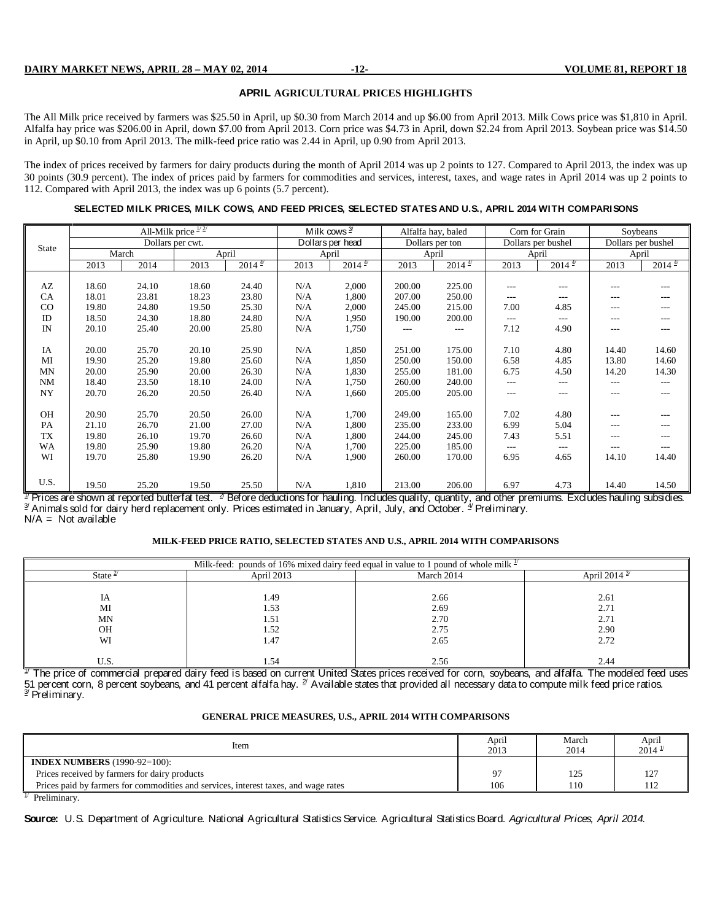#### **APRIL AGRICULTURAL PRICES HIGHLIGHTS**

The All Milk price received by farmers was \$25.50 in April, up \$0.30 from March 2014 and up \$6.00 from April 2013. Milk Cows price was \$1,810 in April. Alfalfa hay price was \$206.00 in April, down \$7.00 from April 2013. Corn price was \$4.73 in April, down \$2.24 from April 2013. Soybean price was \$14.50 in April, up \$0.10 from April 2013. The milk-feed price ratio was 2.44 in April, up 0.90 from April 2013.

The index of prices received by farmers for dairy products during the month of April 2014 was up 2 points to 127. Compared to April 2013, the index was up 30 points (30.9 percent). The index of prices paid by farmers for commodities and services, interest, taxes, and wage rates in April 2014 was up 2 points to 112. Compared with April 2013, the index was up 6 points (5.7 percent).

#### **SELECTED MILK PRICES, MILK COWS, AND FEED PRICES, SELECTED STATES AND U.S., APRIL 2014 WITH COMPARISONS**

|              | All-Milk price $\frac{1}{2}$<br>Dollars per cwt. |       |       |                      | Milk cows $\frac{3}{2}$ |                    | Alfalfa hay, baled |                    | Corn for Grain |                      | Soybeans |                    |
|--------------|--------------------------------------------------|-------|-------|----------------------|-------------------------|--------------------|--------------------|--------------------|----------------|----------------------|----------|--------------------|
| <b>State</b> |                                                  |       |       |                      |                         | Dollars per head   |                    | Dollars per ton    |                | Dollars per bushel   |          | Dollars per bushel |
|              | March                                            |       |       | April                |                         | April              |                    | April              |                | April                |          | April              |
|              | 2013                                             | 2014  | 2013  | $2014^{\frac{4}{5}}$ | 2013                    | $2014 \frac{4}{7}$ | 2013               | $2014 \frac{4}{7}$ | 2013           | $2014^{\frac{4}{5}}$ | 2013     | $2014 \frac{4}{7}$ |
|              |                                                  |       |       |                      |                         |                    | 200.00             |                    |                |                      |          |                    |
| AZ           | 18.60                                            | 24.10 | 18.60 | 24.40                | N/A                     | 2,000              |                    | 225.00             | $---$          | $---$                | $---$    | ---                |
| CA           | 18.01                                            | 23.81 | 18.23 | 23.80                | N/A                     | 1,800              | 207.00             | 250.00             | $---$          | $---$                | $---$    | ---                |
| CO           | 19.80                                            | 24.80 | 19.50 | 25.30                | N/A                     | 2,000              | 245.00             | 215.00             | 7.00           | 4.85                 | $---$    | ---                |
| ID           | 18.50                                            | 24.30 | 18.80 | 24.80                | N/A                     | 1,950              | 190.00             | 200.00             | $---$          | $---$                | $---$    | ---                |
| IN           | 20.10                                            | 25.40 | 20.00 | 25.80                | N/A                     | 1,750              | ---                | $---$              | 7.12           | 4.90                 | $---$    | $---$              |
|              |                                                  |       |       |                      |                         |                    |                    |                    |                |                      |          |                    |
| IA           | 20.00                                            | 25.70 | 20.10 | 25.90                | N/A                     | 1,850              | 251.00             | 175.00             | 7.10           | 4.80                 | 14.40    | 14.60              |
| MI           | 19.90                                            | 25.20 | 19.80 | 25.60                | N/A                     | 1,850              | 250.00             | 150.00             | 6.58           | 4.85                 | 13.80    | 14.60              |
| MN           | 20.00                                            | 25.90 | 20.00 | 26.30                | N/A                     | 1,830              | 255.00             | 181.00             | 6.75           | 4.50                 | 14.20    | 14.30              |
| <b>NM</b>    | 18.40                                            | 23.50 | 18.10 | 24.00                | N/A                     | 1,750              | 260.00             | 240.00             | ---            | $---$                | $---$    | $---$              |
| NY           | 20.70                                            | 26.20 | 20.50 | 26.40                | N/A                     | 1,660              | 205.00             | 205.00             | $---$          | $---$                | $---$    | $---$              |
|              |                                                  |       |       |                      |                         |                    |                    |                    |                |                      |          |                    |
| OH           | 20.90                                            | 25.70 | 20.50 | 26.00                | N/A                     | 1,700              | 249.00             | 165.00             | 7.02           | 4.80                 | $---$    | ---                |
| PA           | 21.10                                            | 26.70 | 21.00 | 27.00                | N/A                     | 1,800              | 235.00             | 233.00             | 6.99           | 5.04                 | ---      | ---                |
| TX           | 19.80                                            | 26.10 | 19.70 | 26.60                | N/A                     | 1,800              | 244.00             | 245.00             | 7.43           | 5.51                 | $---$    | ---                |
| WA           | 19.80                                            | 25.90 | 19.80 | 26.20                | N/A                     | 1,700              | 225.00             | 185.00             | ---            | ---                  | ---      | ---                |
| WI           | 19.70                                            | 25.80 | 19.90 | 26.20                | N/A                     | 1,900              | 260.00             | 170.00             | 6.95           | 4.65                 | 14.10    | 14.40              |
|              |                                                  |       |       |                      |                         |                    |                    |                    |                |                      |          |                    |
|              |                                                  |       |       |                      |                         |                    |                    |                    |                |                      |          |                    |
| U.S.         | 19.50                                            | 25.20 | 19.50 | 25.50                | N/A                     | 1,810              | 213.00             | 206.00             | 6.97           | 4.73                 | 14.40    | 14.50              |

 $\frac{1}{2}$  Prices are shown at reported butterfat test.  $\frac{1}{2}$  Before deductions for hauling. Includes quality, quantity, and other premiums. Excludes hauling subsidies.<br> $\frac{3}{2}$  Animals sold for dairy herd replacement  $N/A = Not available$ 

#### **MILK-FEED PRICE RATIO, SELECTED STATES AND U.S., APRIL 2014 WITH COMPARISONS**

| Milk-feed: pounds of 16% mixed dairy feed equal in value to 1 pound of whole milk $\frac{1}{x}$ |            |            |                          |  |  |  |  |  |  |  |  |  |
|-------------------------------------------------------------------------------------------------|------------|------------|--------------------------|--|--|--|--|--|--|--|--|--|
| State $\leq$                                                                                    | April 2013 | March 2014 | April 2014 $\frac{3}{2}$ |  |  |  |  |  |  |  |  |  |
|                                                                                                 |            |            |                          |  |  |  |  |  |  |  |  |  |
| IA                                                                                              | 1.49       | 2.66       | 2.61                     |  |  |  |  |  |  |  |  |  |
| MI                                                                                              | 1.53       | 2.69       | 2.71                     |  |  |  |  |  |  |  |  |  |
| MN                                                                                              | 1.51       | 2.70       | 2.71                     |  |  |  |  |  |  |  |  |  |
| OH                                                                                              | 1.52       | 2.75       | 2.90                     |  |  |  |  |  |  |  |  |  |
| WI                                                                                              | 1.47       | 2.65       | 2.72                     |  |  |  |  |  |  |  |  |  |
|                                                                                                 |            |            |                          |  |  |  |  |  |  |  |  |  |
| U.S.                                                                                            | l.54       | 2.56       | 2.44                     |  |  |  |  |  |  |  |  |  |

 $^\mathcal I$  The price of commercial prepared dairy feed is based on current United States prices received for corn, soybeans, and alfalfa. The modeled feed uses 51 percent corn, 8 percent soybeans, and 41 percent alfalfa hay. <sup>2/</sup> Available states that provided all necessary data to compute milk feed price ratios.<br><sup>3/</sup> Preliminary.

#### **GENERAL PRICE MEASURES, U.S., APRIL 2014 WITH COMPARISONS**

| Item                                                                                | April<br>2013 | March<br>2014 | April<br>$2014^{\frac{1}{2}}$ |
|-------------------------------------------------------------------------------------|---------------|---------------|-------------------------------|
| <b>INDEX NUMBERS</b> (1990-92=100):                                                 |               |               |                               |
| Prices received by farmers for dairy products                                       | o٢            | 125           | 127                           |
| Prices paid by farmers for commodities and services, interest taxes, and wage rates | 106           | 110           | 112                           |
| $1/\sqrt{m}$ if $\sqrt{m}$                                                          |               |               |                               |

 $1/$  Preliminary.

**Source:** U.S. Department of Agriculture. National Agricultural Statistics Service. Agricultural Statistics Board. *Agricultural Prices, April 2014.*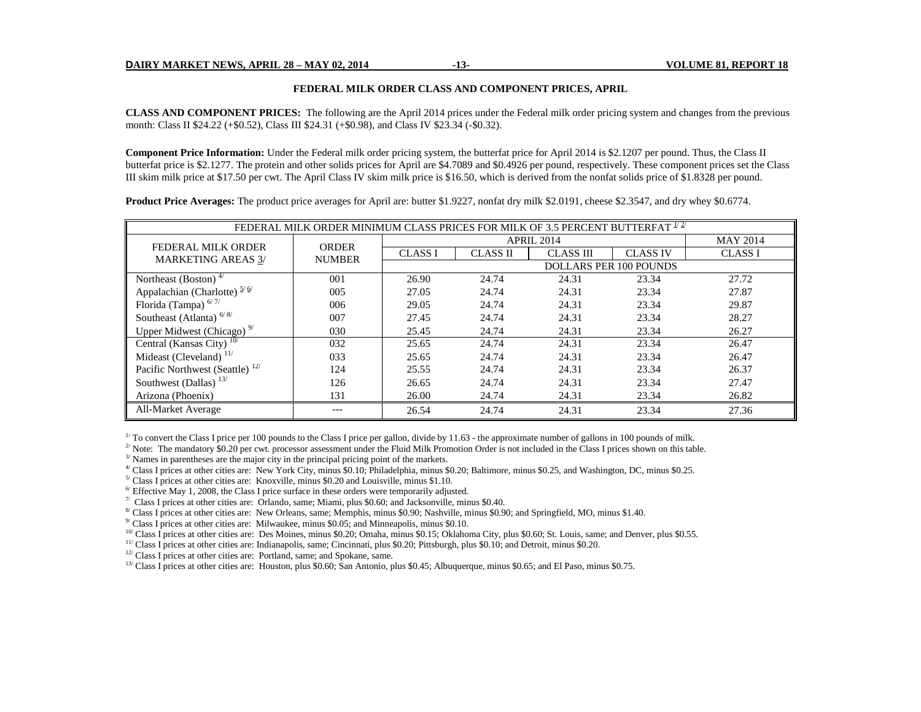#### **FEDERAL MILK ORDER CLASS AND COMPONENT PRICES, APRIL**

**CLASS AND COMPONENT PRICES:** The following are the April 2014 prices under the Federal milk order pricing system and changes from the previous month: Class II \$24.22 (+\$0.52), Class III \$24.31 (+\$0.98), and Class IV \$23.34 (-\$0.32).

**Component Price Information:** Under the Federal milk order pricing system, the butterfat price for April 2014 is \$2.1207 per pound. Thus, the Class II butterfat price is \$2.1277. The protein and other solids prices for April are \$4.7089 and \$0.4926 per pound, respectively. These component prices set the Class III skim milk price at \$17.50 per cwt. The April Class IV skim milk price is \$16.50, which is derived from the nonfat solids price of \$1.8328 per pound.

**Product Price Averages:** The product price averages for April are: butter \$1.9227, nonfat dry milk \$2.0191, cheese \$2.3547, and dry whey \$0.6774.

| FEDERAL MILK ORDER MINIMUM CLASS PRICES FOR MILK OF 3.5 PERCENT BUTTERFAT $^{1/2^{\prime}}$ |               |                |                 |                   |                               |                 |  |  |  |  |  |  |  |
|---------------------------------------------------------------------------------------------|---------------|----------------|-----------------|-------------------|-------------------------------|-----------------|--|--|--|--|--|--|--|
|                                                                                             | <b>ORDER</b>  |                |                 | <b>APRIL 2014</b> |                               | <b>MAY 2014</b> |  |  |  |  |  |  |  |
| <b>FEDERAL MILK ORDER</b><br><b>MARKETING AREAS 3/</b>                                      | <b>NUMBER</b> | <b>CLASS I</b> | <b>CLASS II</b> | <b>CLASS III</b>  | <b>CLASS IV</b>               | <b>CLASS I</b>  |  |  |  |  |  |  |  |
|                                                                                             |               |                |                 |                   | <b>DOLLARS PER 100 POUNDS</b> |                 |  |  |  |  |  |  |  |
| Northeast (Boston) <sup><math>4/</math></sup>                                               | 001           | 26.90          | 24.74           | 24.31             | 23.34                         | 27.72           |  |  |  |  |  |  |  |
| Appalachian (Charlotte) <sup>5/6/</sup>                                                     | 005           | 27.05          | 24.74           | 24.31             | 23.34                         | 27.87           |  |  |  |  |  |  |  |
| Florida (Tampa) <sup>6/7/</sup>                                                             | 006           | 29.05          | 24.74           | 24.31             | 23.34                         | 29.87           |  |  |  |  |  |  |  |
| Southeast (Atlanta) <sup>6/8/</sup>                                                         | 007           | 27.45          | 24.74           | 24.31             | 23.34                         | 28.27           |  |  |  |  |  |  |  |
| Upper Midwest (Chicago) <sup>9/</sup>                                                       | 030           | 25.45          | 24.74           | 24.31             | 23.34                         | 26.27           |  |  |  |  |  |  |  |
| Central (Kansas City) $10/$                                                                 | 032           | 25.65          | 24.74           | 24.31             | 23.34                         | 26.47           |  |  |  |  |  |  |  |
| Mideast (Cleveland) $11/$                                                                   | 033           | 25.65          | 24.74           | 24.31             | 23.34                         | 26.47           |  |  |  |  |  |  |  |
| Pacific Northwest (Seattle) <sup>12/</sup>                                                  | 124           | 25.55          | 24.74           | 24.31             | 23.34                         | 26.37           |  |  |  |  |  |  |  |
| Southwest (Dallas) <sup>13/</sup>                                                           | 126           | 26.65          | 24.74           | 24.31             | 23.34                         | 27.47           |  |  |  |  |  |  |  |
| Arizona (Phoenix)                                                                           | 131           | 26.00          | 24.74           | 24.31             | 23.34                         | 26.82           |  |  |  |  |  |  |  |
| All-Market Average                                                                          | ---           | 26.54          | 24.74           | 24.31             | 23.34                         | 27.36           |  |  |  |  |  |  |  |

 $1/$  To convert the Class I price per 100 pounds to the Class I price per gallon, divide by 11.63 - the approximate number of gallons in 100 pounds of milk.

 $2^{2}$  Note: The mandatory \$0.20 per cwt. processor assessment under the Fluid Milk Promotion Order is not included in the Class I prices shown on this table.

 $3/$  Names in parentheses are the major city in the principal pricing point of the markets.

 $^{4}$  Class I prices at other cities are: New York City, minus \$0.10; Philadelphia, minus \$0.20; Baltimore, minus \$0.25, and Washington, DC, minus \$0.25.

 $<sup>5</sup>$  Class I prices at other cities are: Knoxville, minus \$0.20 and Louisville, minus \$1.10.</sup>

 $\frac{6}{1}$  Effective May 1, 2008, the Class I price surface in these orders were temporarily adjusted.

 $\%$  Class I prices at other cities are: Orlando, same; Miami, plus \$0.60; and Jacksonville, minus \$0.40.

<sup>8/</sup> Class I prices at other cities are: New Orleans, same; Memphis, minus \$0.90; Nashville, minus \$0.90; and Springfield, MO, minus \$1.40.

 $9/$  Class I prices at other cities are: Milwaukee, minus \$0.05; and Minneapolis, minus \$0.10.

 $10<sup>70</sup>$  Class I prices at other cities are: Des Moines, minus \$0.20; Omaha, minus \$0.15; Oklahoma City, plus \$0.60; St. Louis, same; and Denver, plus \$0.55.

<sup>11/</sup> Class I prices at other cities are: Indianapolis, same; Cincinnati, plus \$0.20; Pittsburgh, plus \$0.10; and Detroit, minus \$0.20.<br><sup>12/</sup> Class I prices at other cities are: Portland, same; and Spokane, same.

 $13$ / Class I prices at other cities are: Houston, plus \$0.60; San Antonio, plus \$0.45; Albuquerque, minus \$0.65; and El Paso, minus \$0.75.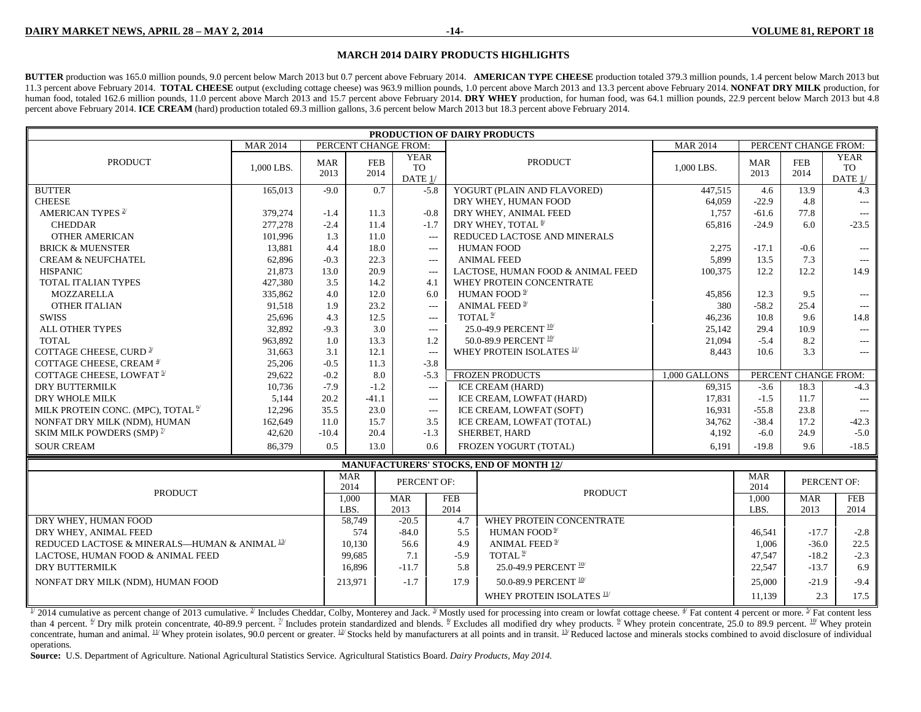#### **MARCH 2014 DAIRY PRODUCTS HIGHLIGHTS**

**BUTTER** production was 165.0 million pounds, 9.0 percent below March 2013 but 0.7 percent above February 2014. **AMERICAN TYPE CHEESE** production totaled 379.3 million pounds, 1.4 percent below March 2013 but 11.3 percent above February 2014. **TOTAL CHEESE** output (excluding cottage cheese) was 963.9 million pounds, 1.0 percent above March 2013 and 13.3 percent above February 2014. **NONFAT DRY MILK** production, for human food, totaled 162.6 million pounds, 11.0 percent above March 2013 and 15.7 percent above February 2014. DRY WHEY production, for human food, was 64.1 million pounds, 22.9 percent below March 2013 but 4.8 percent above February 2014. **ICE CREAM** (hard) production totaled 69.3 million gallons, 3.6 percent below March 2013 but 18.3 percent above February 2014.

| PRODUCTION OF DAIRY PRODUCTS<br>PERCENT CHANGE FROM:<br>PERCENT CHANGE FROM: |                                                                      |                    |                    |                                            |                                   |                                                |                 |                    |                      |                                     |  |  |  |
|------------------------------------------------------------------------------|----------------------------------------------------------------------|--------------------|--------------------|--------------------------------------------|-----------------------------------|------------------------------------------------|-----------------|--------------------|----------------------|-------------------------------------|--|--|--|
|                                                                              | <b>MAR 2014</b>                                                      |                    |                    |                                            |                                   |                                                | <b>MAR 2014</b> |                    |                      |                                     |  |  |  |
| PRODUCT                                                                      | 1,000 LBS.                                                           | <b>MAR</b><br>2013 | <b>FEB</b><br>2014 | <b>YEAR</b><br><b>TO</b><br>DATE 1/        |                                   | <b>PRODUCT</b>                                 | 1,000 LBS.      | <b>MAR</b><br>2013 | ${\rm FEB}$<br>2014  | <b>YEAR</b><br><b>TO</b><br>DATE 1/ |  |  |  |
| <b>BUTTER</b>                                                                | 165,013                                                              | $-9.0$             | 0.7                |                                            | $-5.8$                            | YOGURT (PLAIN AND FLAVORED)                    | 447,515         | 4.6                | 13.9                 | 4.3                                 |  |  |  |
| <b>CHEESE</b>                                                                |                                                                      |                    |                    |                                            |                                   | DRY WHEY, HUMAN FOOD                           | 64,059          | $-22.9$            | 4.8                  | $\cdots$                            |  |  |  |
| AMERICAN TYPES <sup>2/</sup>                                                 | 379,274                                                              | $-1.4$             | 11.3               |                                            | $-0.8$                            | DRY WHEY, ANIMAL FEED                          | 1,757           | $-61.6$            | 77.8                 | $\overline{a}$                      |  |  |  |
| <b>CHEDDAR</b>                                                               | 277,278                                                              | $-2.4$             | 11.4               |                                            | $-1.7$                            | DRY WHEY, TOTAL 8/                             | 65,816          | $-24.9$            | 6.0                  | $-23.5$                             |  |  |  |
| <b>OTHER AMERICAN</b>                                                        | 101,996                                                              | 1.3                | 11.0               |                                            | $---$                             | REDUCED LACTOSE AND MINERALS                   |                 |                    |                      |                                     |  |  |  |
| <b>BRICK &amp; MUENSTER</b>                                                  | 13,881                                                               | 4.4                | 18.0               |                                            | ---                               | <b>HUMAN FOOD</b>                              | 2,275           | $-17.1$            | $-0.6$               | $\cdots$                            |  |  |  |
| <b>CREAM &amp; NEUFCHATEL</b>                                                | 62,896                                                               | $-0.3$             | 22.3               |                                            | $---$                             | <b>ANIMAL FEED</b>                             | 5,899           | 13.5               | 7.3                  | $\cdots$                            |  |  |  |
| <b>HISPANIC</b>                                                              | 21,873                                                               | 13.0               | 20.9               |                                            | $---$                             | LACTOSE, HUMAN FOOD & ANIMAL FEED              | 100,375         | 12.2               | 12.2                 | 14.9                                |  |  |  |
| TOTAL ITALIAN TYPES                                                          | 427,380<br>3.5<br>14.2<br>WHEY PROTEIN CONCENTRATE<br>4.1            |                    |                    |                                            |                                   |                                                |                 |                    |                      |                                     |  |  |  |
| MOZZARELLA                                                                   | 335,862<br>4.0<br>12.0<br>6.0                                        |                    |                    |                                            |                                   | HUMAN FOOD <sup>2/</sup>                       | 45,856          | 12.3               | 9.5                  | $\cdots$                            |  |  |  |
| <b>OTHER ITALIAN</b>                                                         | ANIMAL FEED <sup><sup>2/</sup></sup><br>1.9<br>23.2<br>91,518<br>--- |                    |                    |                                            |                                   |                                                | 380             | $-58.2$            | 25.4                 | $\overline{a}$                      |  |  |  |
| <b>SWISS</b>                                                                 | 25,696                                                               | 4.3                | 12.5               |                                            | $---$                             | TOTAL $2^{\prime}$                             | 46,236          | 10.8               | 9.6                  | 14.8                                |  |  |  |
| ALL OTHER TYPES                                                              | 32,892                                                               | $-9.3$             | 3.0                |                                            | $\cdots$                          | 25.0-49.9 PERCENT $10$ <sup>/</sup>            | 25,142          | 29.4               | 10.9                 | $---$                               |  |  |  |
| <b>TOTAL</b>                                                                 | 963,892                                                              | 1.0                | 13.3               |                                            | 1.2                               | 50.0-89.9 PERCENT 10/                          | 21,094          | $-5.4$             | 8.2                  | $\cdots$                            |  |  |  |
| COTTAGE CHEESE, CURD <sup>3/</sup>                                           | 31,663                                                               | 3.1                | 12.1               |                                            | $---$                             | WHEY PROTEIN ISOLATES <sup>11/</sup>           | 8,443           | 10.6               | 3.3                  |                                     |  |  |  |
| COTTAGE CHEESE, CREAM <sup>4</sup>                                           | 25,206                                                               | $-0.5$             | 11.3               |                                            | $-3.8$                            |                                                |                 |                    |                      |                                     |  |  |  |
| COTTAGE CHEESE, LOWFAT <sup>5/</sup>                                         | 29,622                                                               | $-0.2$             | 8.0                |                                            | $-5.3$                            | FROZEN PRODUCTS                                | 1,000 GALLONS   |                    | PERCENT CHANGE FROM: |                                     |  |  |  |
| DRY BUTTERMILK                                                               | 10,736                                                               | $-7.9$             | $-1.2$             |                                            | $\overline{\phantom{a}}$          | ICE CREAM (HARD)                               | 69,315          | $-3.6$             | 18.3                 | $-4.3$                              |  |  |  |
| DRY WHOLE MILK                                                               | 5,144                                                                | 20.2               | $-41.1$            |                                            | $- - -$                           | ICE CREAM, LOWFAT (HARD)                       | 17,831          | $-1.5$             | 11.7                 | $---$                               |  |  |  |
| MILK PROTEIN CONC. (MPC), TOTAL <sup>6/</sup>                                | 12,296                                                               | 35.5               | 23.0               |                                            | $---$                             | ICE CREAM, LOWFAT (SOFT)                       | 16,931          | $-55.8$            | 23.8                 | $\cdots$                            |  |  |  |
| NONFAT DRY MILK (NDM), HUMAN                                                 | 162,649                                                              | 11.0               | 15.7               |                                            | 3.5                               | ICE CREAM, LOWFAT (TOTAL)                      | 34,762          | $-38.4$            | 17.2                 | $-42.3$                             |  |  |  |
| SKIM MILK POWDERS (SMP) $\mathbb{Z}$                                         | 42,620                                                               | $-10.4$            | 20.4               |                                            | $-1.3$                            | SHERBET, HARD                                  | 4,192           | $-6.0$             | 24.9                 | $-5.0$                              |  |  |  |
| <b>SOUR CREAM</b>                                                            | 86,379                                                               | 0.5                | 13.0               |                                            | 0.6                               | FROZEN YOGURT (TOTAL)                          | 6,191           | $-19.8$            | 9.6                  | $-18.5$                             |  |  |  |
|                                                                              |                                                                      |                    |                    |                                            |                                   | <b>MANUFACTURERS' STOCKS, END OF MONTH 12/</b> |                 |                    |                      |                                     |  |  |  |
| <b>PRODUCT</b>                                                               |                                                                      |                    | <b>MAR</b><br>2014 | PERCENT OF:                                |                                   | <b>PRODUCT</b>                                 |                 | <b>MAR</b><br>2014 |                      | PERCENT OF:                         |  |  |  |
|                                                                              |                                                                      |                    | 1,000<br>LBS.      | <b>MAR</b><br>2013                         | <b>FEB</b><br>2014                |                                                |                 | 1,000<br>LBS.      | <b>MAR</b><br>2013   | <b>FEB</b><br>2014                  |  |  |  |
| DRY WHEY, HUMAN FOOD                                                         |                                                                      |                    | 58,749             | $-20.5$                                    | 4.7                               | WHEY PROTEIN CONCENTRATE                       |                 |                    |                      |                                     |  |  |  |
| DRY WHEY, ANIMAL FEED                                                        |                                                                      |                    | 574                | HUMAN FOOD <sup>2/</sup><br>$-84.0$<br>5.5 |                                   |                                                |                 |                    | $-17.7$              | $-2.8$                              |  |  |  |
| REDUCED LACTOSE & MINERALS—HUMAN & ANIMAL 13/                                |                                                                      |                    | 10,130             | 56.6                                       | 4.9                               | ANIMAL FEED <sup>2</sup>                       |                 | 46.541<br>1,006    | $-36.0$              | 22.5                                |  |  |  |
| LACTOSE, HUMAN FOOD & ANIMAL FEED                                            |                                                                      |                    | 99,685             | TOTAL <sup>2/</sup><br>7.1<br>$-5.9$       |                                   |                                                |                 | 47,547             | $-18.2$              | $-2.3$                              |  |  |  |
| <b>DRY BUTTERMILK</b>                                                        |                                                                      |                    | 16,896             | $-11.7$                                    | 5.8                               | 25.0-49.9 PERCENT $\frac{10}{10}$              |                 | 22,547             | $-13.7$              | 6.9                                 |  |  |  |
| NONFAT DRY MILK (NDM), HUMAN FOOD                                            |                                                                      | 213,971            | $-1.7$             | 17.9                                       | 50.0-89.9 PERCENT $\frac{10}{10}$ |                                                | 25,000          | $-21.9$            | $-9.4$               |                                     |  |  |  |
|                                                                              |                                                                      |                    |                    |                                            |                                   | WHEY PROTEIN ISOLATES 11/                      |                 | 11,139             | 2.3                  | 17.5                                |  |  |  |

 $\frac{1}{2}$  2014 cumulative as percent change of 2013 cumulative.  $\frac{2}{3}$  Includes Cheddar, Colby, Monterey and Jack.  $\frac{3}{3}$  Mostly used for processing into cream or lowfat cottage cheese.  $\frac{4}{3}$  Fat content 4 perce than 4 percent.  $\frac{\omega}{2}$  Dry milk protein concentrate, 40-89.9 percent.  $\frac{\omega}{2}$  Includes protein standardized and blends.  $\frac{\omega}{2}$  Excludes all modified dry whey products.  $\frac{\omega}{2}$  Whey protein concentrate, 25.0 to 8 concentrate, human and animal.  $^{11}$  Whey protein isolates, 90.0 percent or greater.  $^{12}$  Stocks held by manufacturers at all points and in transit.  $^{13}$  Reduced lactose and minerals stocks combined to avoid disclosu operations.

**Source:** U.S. Department of Agriculture. National Agricultural Statistics Service. Agricultural Statistics Board. *Dairy Products, May 2014.*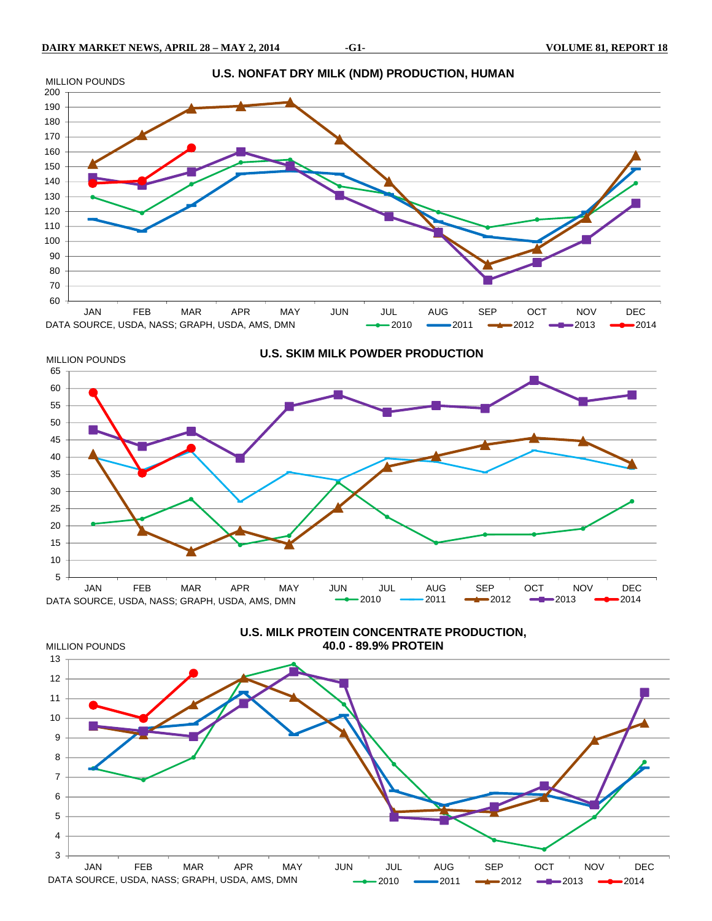MILLION POUNDS





**U.S. MILK PROTEIN CONCENTRATE PRODUCTION, 40.0 - 89.9% PROTEIN**

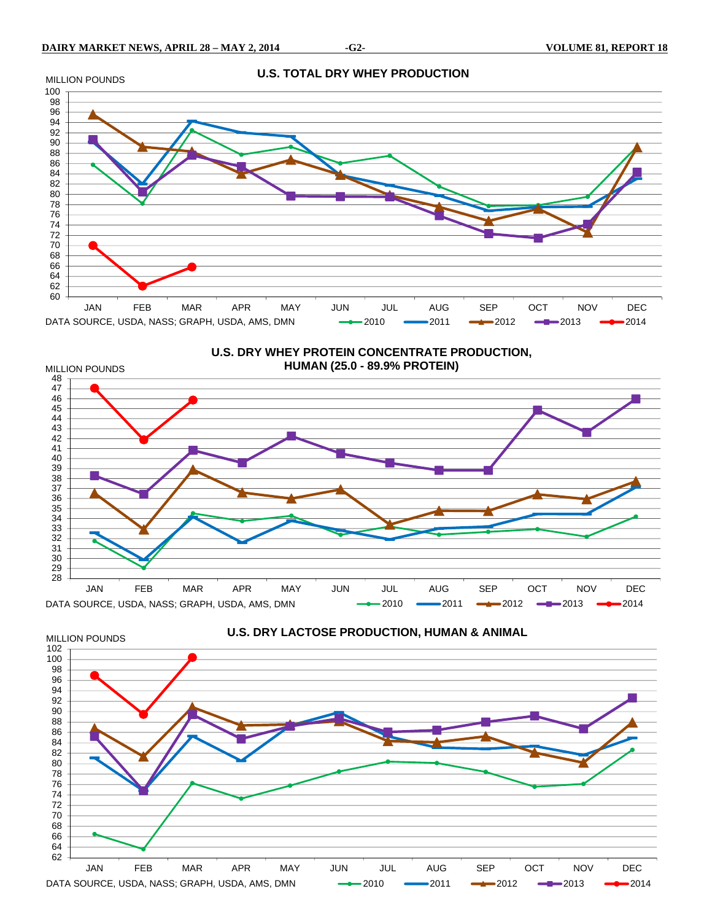

**U.S. DRY WHEY PROTEIN CONCENTRATE PRODUCTION, HUMAN (25.0 - 89.9% PROTEIN)** 



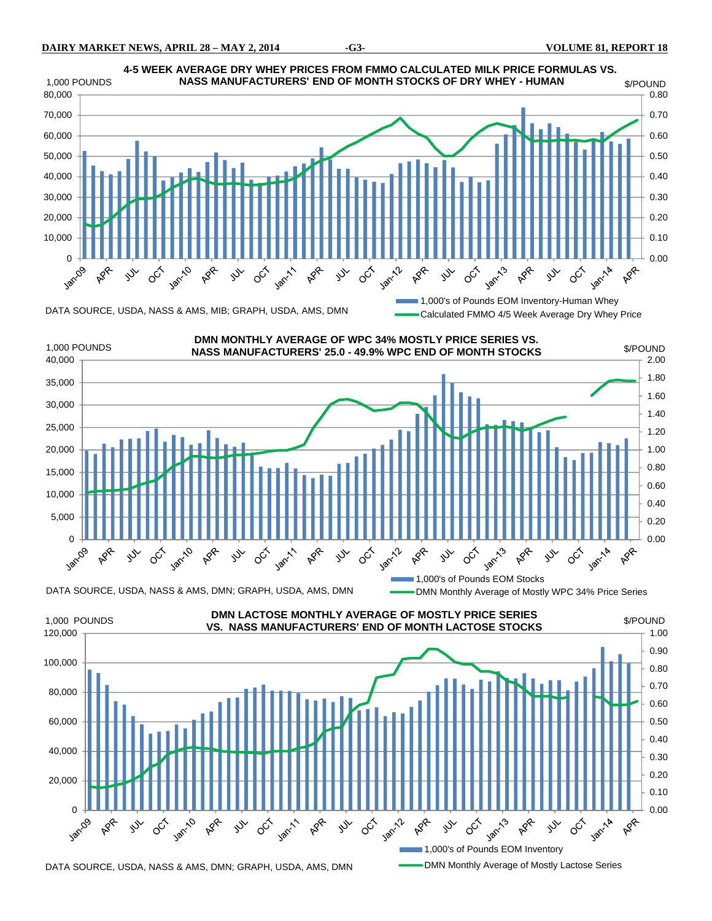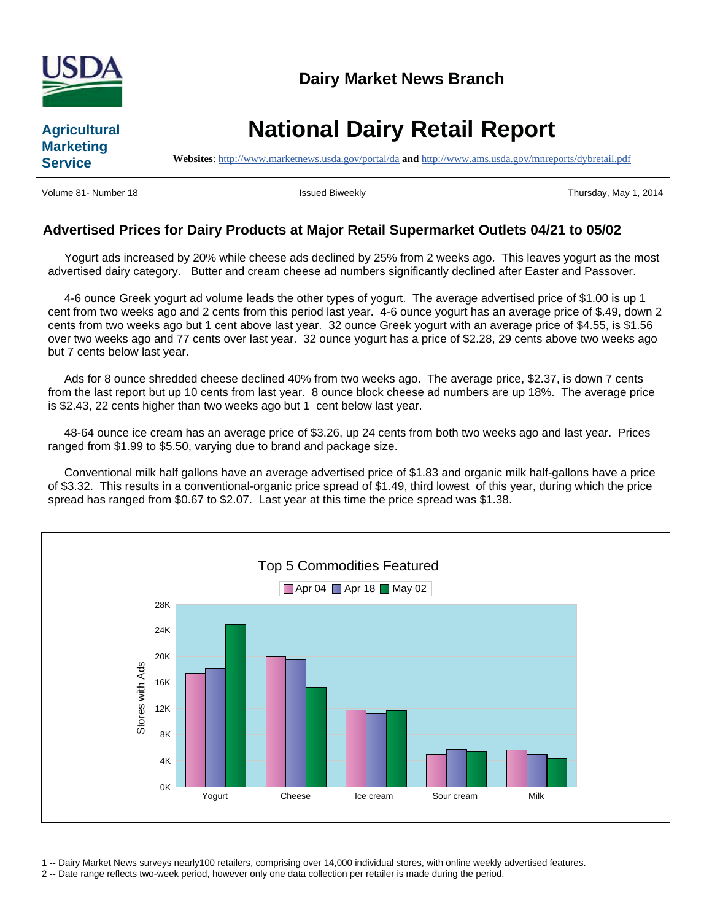

## **Agricultural Marketing Service**

**National Dairy Retail Report**

**Websites**: http://www.marketnews.usda.gov/portal/da **and** http://www.ams.usda.gov/mnreports/dybretail.pdf

Volume 81- Number 18 **Issued Biweekly Network Contained Biweekly** Thursday, May 1, 2014

### **Advertised Prices for Dairy Products at Major Retail Supermarket Outlets 04/21 to 05/02**

 Yogurt ads increased by 20% while cheese ads declined by 25% from 2 weeks ago. This leaves yogurt as the most advertised dairy category. Butter and cream cheese ad numbers significantly declined after Easter and Passover.

 4-6 ounce Greek yogurt ad volume leads the other types of yogurt. The average advertised price of \$1.00 is up 1 cent from two weeks ago and 2 cents from this period last year. 4-6 ounce yogurt has an average price of \$.49, down 2 cents from two weeks ago but 1 cent above last year. 32 ounce Greek yogurt with an average price of \$4.55, is \$1.56 over two weeks ago and 77 cents over last year. 32 ounce yogurt has a price of \$2.28, 29 cents above two weeks ago but 7 cents below last year.

 Ads for 8 ounce shredded cheese declined 40% from two weeks ago. The average price, \$2.37, is down 7 cents from the last report but up 10 cents from last year. 8 ounce block cheese ad numbers are up 18%. The average price is \$2.43, 22 cents higher than two weeks ago but 1 cent below last year.

 48-64 ounce ice cream has an average price of \$3.26, up 24 cents from both two weeks ago and last year. Prices ranged from \$1.99 to \$5.50, varying due to brand and package size.

 Conventional milk half gallons have an average advertised price of \$1.83 and organic milk half-gallons have a price of \$3.32. This results in a conventional-organic price spread of \$1.49, third lowest of this year, during which the price spread has ranged from \$0.67 to \$2.07. Last year at this time the price spread was \$1.38.



1 **--** Dairy Market News surveys nearly100 retailers, comprising over 14,000 individual stores, with online weekly advertised features.

2 **--** Date range reflects two-week period, however only one data collection per retailer is made during the period.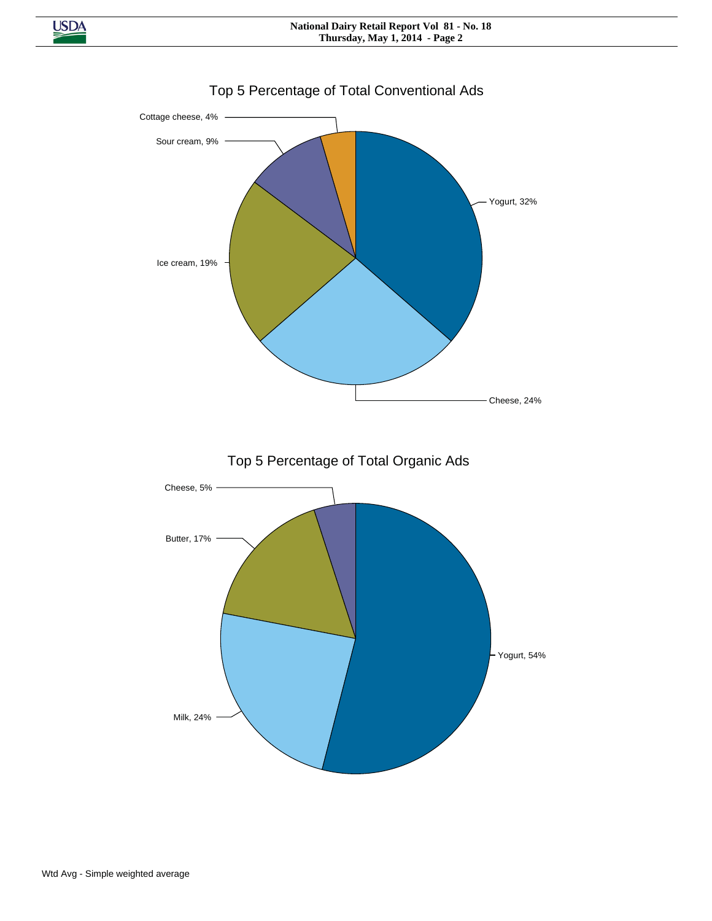

## Top 5 Percentage of Total Conventional Ads

**USDA**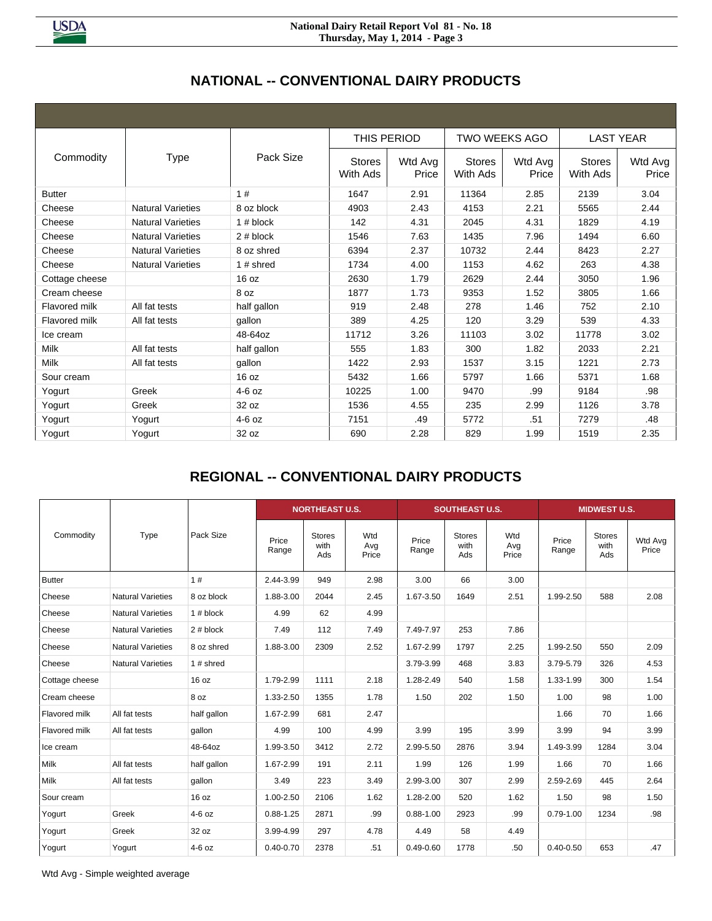**USDA** 

#### **National Dairy Retail Report Vol 81 - No. 18 Thursday, May 1, 2014 - Page 3**

## **NATIONAL -- CONVENTIONAL DAIRY PRODUCTS**

|                      |                          |              | THIS PERIOD               |                  | <b>TWO WEEKS AGO</b>      |                  |                           | <b>LAST YEAR</b> |
|----------------------|--------------------------|--------------|---------------------------|------------------|---------------------------|------------------|---------------------------|------------------|
| Commodity            | <b>Type</b>              | Pack Size    | <b>Stores</b><br>With Ads | Wtd Avg<br>Price | <b>Stores</b><br>With Ads | Wtd Avg<br>Price | <b>Stores</b><br>With Ads | Wtd Avg<br>Price |
| <b>Butter</b>        |                          | 1#           | 1647                      | 2.91             | 11364                     | 2.85             | 2139                      | 3.04             |
| Cheese               | <b>Natural Varieties</b> | 8 oz block   | 4903                      | 2.43             | 4153                      | 2.21             | 5565                      | 2.44             |
| Cheese               | <b>Natural Varieties</b> | 1# block     | 142                       | 4.31             | 2045                      | 4.31             | 1829                      | 4.19             |
| Cheese               | <b>Natural Varieties</b> | 2# block     | 1546                      | 7.63             | 1435                      | 7.96             | 1494                      | 6.60             |
| Cheese               | <b>Natural Varieties</b> | 8 oz shred   | 6394                      | 2.37             | 10732                     | 2.44             | 8423                      | 2.27             |
| Cheese               | <b>Natural Varieties</b> | 1 $\#$ shred | 1734                      | 4.00             | 1153                      | 4.62             | 263                       | 4.38             |
| Cottage cheese       |                          | 16 oz        | 2630                      | 1.79             | 2629                      | 2.44             | 3050                      | 1.96             |
| Cream cheese         |                          | 8 oz         | 1877                      | 1.73             | 9353                      | 1.52             | 3805                      | 1.66             |
| Flavored milk        | All fat tests            | half gallon  | 919                       | 2.48             | 278                       | 1.46             | 752                       | 2.10             |
| <b>Flavored milk</b> | All fat tests            | gallon       | 389                       | 4.25             | 120                       | 3.29             | 539                       | 4.33             |
| Ice cream            |                          | 48-64oz      | 11712                     | 3.26             | 11103                     | 3.02             | 11778                     | 3.02             |
| <b>Milk</b>          | All fat tests            | half gallon  | 555                       | 1.83             | 300                       | 1.82             | 2033                      | 2.21             |
| <b>Milk</b>          | All fat tests            | gallon       | 1422                      | 2.93             | 1537                      | 3.15             | 1221                      | 2.73             |
| Sour cream           |                          | 16 oz        | 5432                      | 1.66             | 5797                      | 1.66             | 5371                      | 1.68             |
| Yogurt               | Greek                    | $4-6$ oz     | 10225                     | 1.00             | 9470                      | .99              | 9184                      | .98              |
| Yogurt               | Greek                    | 32 oz        | 1536                      | 4.55             | 235                       | 2.99             | 1126                      | 3.78             |
| Yogurt               | Yogurt                   | $4-6$ oz     | 7151                      | .49              | 5772                      | .51              | 7279                      | .48              |
| Yogurt               | Yogurt                   | 32 oz        | 690                       | 2.28             | 829                       | 1.99             | 1519                      | 2.35             |

## **REGIONAL -- CONVENTIONAL DAIRY PRODUCTS**

|                |                          |             |                | <b>NORTHEAST U.S.</b>        |                     |                | <b>SOUTHEAST U.S.</b>        |                     | <b>MIDWEST U.S.</b> |                              |                  |  |  |
|----------------|--------------------------|-------------|----------------|------------------------------|---------------------|----------------|------------------------------|---------------------|---------------------|------------------------------|------------------|--|--|
| Commodity      | Type                     | Pack Size   | Price<br>Range | <b>Stores</b><br>with<br>Ads | Wtd<br>Avg<br>Price | Price<br>Range | <b>Stores</b><br>with<br>Ads | Wtd<br>Avg<br>Price | Price<br>Range      | <b>Stores</b><br>with<br>Ads | Wtd Avg<br>Price |  |  |
| <b>Butter</b>  |                          | 1#          | 2.44-3.99      | 949                          | 2.98                | 3.00           | 66                           | 3.00                |                     |                              |                  |  |  |
| Cheese         | <b>Natural Varieties</b> | 8 oz block  | 1.88-3.00      | 2044                         | 2.45                | 1.67-3.50      | 1649                         | 2.51                | 1.99-2.50           | 588                          | 2.08             |  |  |
| Cheese         | <b>Natural Varieties</b> | $1#$ block  | 4.99           | 62                           | 4.99                |                |                              |                     |                     |                              |                  |  |  |
| Cheese         | <b>Natural Varieties</b> | 2# block    | 7.49           | 112                          | 7.49                | 7.49-7.97      | 253                          | 7.86                |                     |                              |                  |  |  |
| Cheese         | <b>Natural Varieties</b> | 8 oz shred  | 1.88-3.00      | 2309                         | 2.52                | 1.67-2.99      | 1797                         | 2.25                | 1.99-2.50           | 550                          | 2.09             |  |  |
| Cheese         | <b>Natural Varieties</b> | 1 $#$ shred |                |                              |                     | 3.79-3.99      | 468                          | 3.83                | 3.79-5.79           | 326                          | 4.53             |  |  |
| Cottage cheese |                          | 16 oz       | 1.79-2.99      | 1111                         | 2.18                | 1.28-2.49      | 540                          | 1.58                | 1.33-1.99           | 300                          | 1.54             |  |  |
| Cream cheese   |                          | 8 oz        | 1.33-2.50      | 1355                         | 1.78                | 1.50           | 202                          | 1.50                | 1.00                | 98                           | 1.00             |  |  |
| Flavored milk  | All fat tests            | half gallon | 1.67-2.99      | 681                          | 2.47                |                |                              |                     | 1.66                | 70                           | 1.66             |  |  |
| Flavored milk  | All fat tests            | qallon      | 4.99           | 100                          | 4.99                | 3.99           | 195                          | 3.99                | 3.99                | 94                           | 3.99             |  |  |
| Ice cream      |                          | 48-64oz     | 1.99-3.50      | 3412                         | 2.72                | 2.99-5.50      | 2876                         | 3.94                | 1.49-3.99           | 1284                         | 3.04             |  |  |
| Milk           | All fat tests            | half gallon | 1.67-2.99      | 191                          | 2.11                | 1.99           | 126                          | 1.99                | 1.66                | 70                           | 1.66             |  |  |
| Milk           | All fat tests            | gallon      | 3.49           | 223                          | 3.49                | 2.99-3.00      | 307                          | 2.99                | 2.59-2.69           | 445                          | 2.64             |  |  |
| Sour cream     |                          | 16 oz       | 1.00-2.50      | 2106                         | 1.62                | 1.28-2.00      | 520                          | 1.62                | 1.50                | 98                           | 1.50             |  |  |
| Yogurt         | Greek                    | $4-6$ oz    | $0.88 - 1.25$  | 2871                         | .99                 | $0.88 - 1.00$  | 2923                         | .99                 | $0.79 - 1.00$       | 1234                         | .98              |  |  |
| Yogurt         | Greek                    | 32 oz       | 3.99-4.99      | 297                          | 4.78                | 4.49           | 58                           | 4.49                |                     |                              |                  |  |  |
| Yogurt         | Yogurt                   | $4-6$ oz    | $0.40 - 0.70$  | 2378                         | .51                 | $0.49 - 0.60$  | 1778                         | .50                 | $0.40 - 0.50$       | 653                          | .47              |  |  |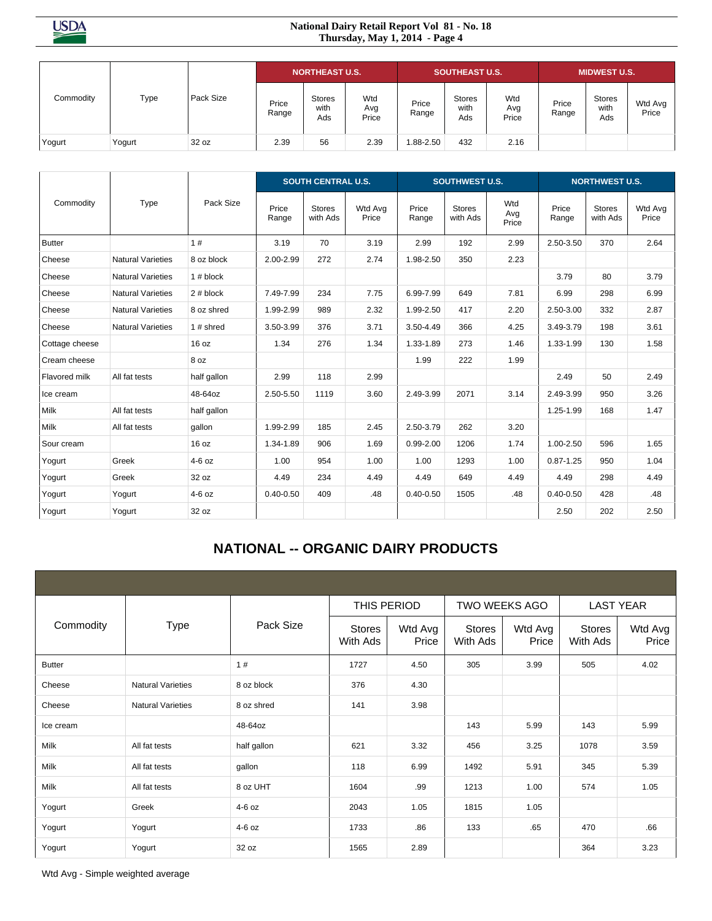**USDA** 

#### **National Dairy Retail Report Vol 81 - No. 18 Thursday, May 1, 2014 - Page 4**

| Commodity |        |           |                | <b>NORTHEAST U.S.</b>        |                     | <b>SOUTHEAST U.S.</b> |                              |                     |                | <b>MIDWEST U.S.</b>          |                  |
|-----------|--------|-----------|----------------|------------------------------|---------------------|-----------------------|------------------------------|---------------------|----------------|------------------------------|------------------|
|           | Type   | Pack Size | Price<br>Range | <b>Stores</b><br>with<br>Ads | Wtd<br>Avg<br>Price | Price<br>Range        | <b>Stores</b><br>with<br>Ads | Wtd<br>Avg<br>Price | Price<br>Range | <b>Stores</b><br>with<br>Ads | Wtd Avg<br>Price |
| Yogurt    | Yogurt | 32 oz     | 2.39           | 56                           | 2.39                | 1.88-2.50             | 432                          | 2.16                |                |                              |                  |

|                |                          |             |                | <b>SOUTH CENTRAL U.S.</b> |                  |                | <b>SOUTHWEST U.S.</b>     |                     |                |                                                                                                                                             |                  |
|----------------|--------------------------|-------------|----------------|---------------------------|------------------|----------------|---------------------------|---------------------|----------------|---------------------------------------------------------------------------------------------------------------------------------------------|------------------|
| Commodity      | Type                     | Pack Size   | Price<br>Range | <b>Stores</b><br>with Ads | Wtd Avg<br>Price | Price<br>Range | <b>Stores</b><br>with Ads | Wtd<br>Avg<br>Price | Price<br>Range | <b>NORTHWEST U.S.</b><br><b>Stores</b><br>with Ads<br>370<br>80<br>298<br>332<br>198<br>130<br>50<br>950<br>168<br>596<br>950<br>298<br>428 | Wtd Avg<br>Price |
| Butter         |                          | 1#          | 3.19           | 70                        | 3.19             | 2.99           | 192                       | 2.99                | 2.50-3.50      |                                                                                                                                             | 2.64             |
| Cheese         | <b>Natural Varieties</b> | 8 oz block  | 2.00-2.99      | 272                       | 2.74             | 1.98-2.50      | 350                       | 2.23                |                |                                                                                                                                             |                  |
| Cheese         | <b>Natural Varieties</b> | $1#$ block  |                |                           |                  |                |                           |                     | 3.79           |                                                                                                                                             | 3.79             |
| Cheese         | <b>Natural Varieties</b> | 2# block    | 7.49-7.99      | 234                       | 7.75             | 6.99-7.99      | 649                       | 7.81                | 6.99           |                                                                                                                                             | 6.99             |
| Cheese         | <b>Natural Varieties</b> | 8 oz shred  | 1.99-2.99      | 989                       | 2.32             | 1.99-2.50      | 417                       | 2.20                | 2.50-3.00      |                                                                                                                                             | 2.87             |
| Cheese         | <b>Natural Varieties</b> | 1# shred    | 3.50-3.99      | 376                       | 3.71             | 3.50-4.49      | 366                       | 4.25                | 3.49-3.79      |                                                                                                                                             | 3.61             |
| Cottage cheese |                          | 16 oz       | 1.34           | 276                       | 1.34             | 1.33-1.89      | 273                       | 1.46                | 1.33-1.99      |                                                                                                                                             | 1.58             |
| Cream cheese   |                          | 8 oz        |                |                           |                  | 1.99           | 222                       | 1.99                |                |                                                                                                                                             |                  |
| Flavored milk  | All fat tests            | half gallon | 2.99           | 118                       | 2.99             |                |                           |                     | 2.49           |                                                                                                                                             | 2.49             |
| Ice cream      |                          | 48-64oz     | 2.50-5.50      | 1119                      | 3.60             | 2.49-3.99      | 2071                      | 3.14                | 2.49-3.99      |                                                                                                                                             | 3.26             |
| Milk           | All fat tests            | half gallon |                |                           |                  |                |                           |                     | 1.25-1.99      |                                                                                                                                             | 1.47             |
| Milk           | All fat tests            | gallon      | 1.99-2.99      | 185                       | 2.45             | 2.50-3.79      | 262                       | 3.20                |                |                                                                                                                                             |                  |
| Sour cream     |                          | 16 oz       | 1.34-1.89      | 906                       | 1.69             | $0.99 - 2.00$  | 1206                      | 1.74                | 1.00-2.50      |                                                                                                                                             | 1.65             |
| Yogurt         | Greek                    | $4-6$ oz    | 1.00           | 954                       | 1.00             | 1.00           | 1293                      | 1.00                | $0.87 - 1.25$  |                                                                                                                                             | 1.04             |
| Yogurt         | Greek                    | 32 oz       | 4.49           | 234                       | 4.49             | 4.49           | 649                       | 4.49                | 4.49           |                                                                                                                                             | 4.49             |
| Yogurt         | Yogurt                   | $4-6$ oz    | $0.40 - 0.50$  | 409                       | .48              | $0.40 - 0.50$  | 1505                      | .48                 | $0.40 - 0.50$  |                                                                                                                                             | .48              |
| Yogurt         | Yogurt                   | 32 oz       |                |                           |                  |                |                           |                     | 2.50           | 202                                                                                                                                         | 2.50             |

## **NATIONAL -- ORGANIC DAIRY PRODUCTS**

|               |                          |             | THIS PERIOD               |                  | TWO WEEKS AGO      |                  | <b>LAST YEAR</b>   |                  |  |
|---------------|--------------------------|-------------|---------------------------|------------------|--------------------|------------------|--------------------|------------------|--|
| Commodity     | <b>Type</b>              | Pack Size   | <b>Stores</b><br>With Ads | Wtd Avg<br>Price | Stores<br>With Ads | Wtd Avg<br>Price | Stores<br>With Ads | Wtd Avg<br>Price |  |
| <b>Butter</b> |                          | 1#          | 1727                      | 4.50             | 305                | 3.99             | 505                | 4.02             |  |
| Cheese        | <b>Natural Varieties</b> | 8 oz block  | 376                       | 4.30             |                    |                  |                    |                  |  |
| Cheese        | <b>Natural Varieties</b> | 8 oz shred  | 141                       | 3.98             |                    |                  |                    |                  |  |
| Ice cream     |                          | 48-64oz     |                           |                  | 143                | 5.99             | 143                | 5.99             |  |
| Milk          | All fat tests            | half gallon | 621                       | 3.32             | 456                | 3.25             | 1078               | 3.59             |  |
| Milk          | All fat tests            | gallon      | 118                       | 6.99             | 1492               | 5.91             | 345                | 5.39             |  |
| Milk          | All fat tests            | 8 oz UHT    | 1604                      | .99              | 1213               | 1.00             | 574                | 1.05             |  |
| Yogurt        | Greek                    | $4-6$ oz    | 2043                      | 1.05             | 1815               | 1.05             |                    |                  |  |
| Yogurt        | Yogurt                   | $4-6$ oz    | 1733                      | .86              | 133                | .65              | 470                | .66              |  |
| Yogurt        | Yogurt                   | 32 oz       | 1565                      | 2.89             |                    |                  | 364                | 3.23             |  |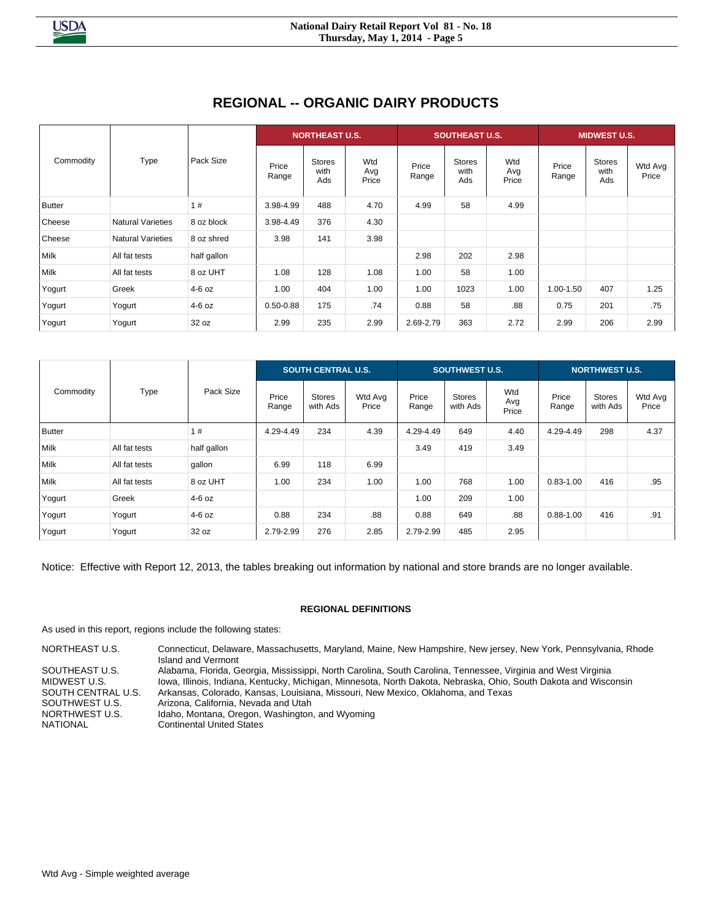## **REGIONAL -- ORGANIC DAIRY PRODUCTS**

| Commodity     |                          |             |                | <b>NORTHEAST U.S.</b>        |                     |                | <b>SOUTHEAST U.S.</b>        |                     | <b>MIDWEST U.S.</b> |                              |                  |
|---------------|--------------------------|-------------|----------------|------------------------------|---------------------|----------------|------------------------------|---------------------|---------------------|------------------------------|------------------|
|               | Type                     | Pack Size   | Price<br>Range | <b>Stores</b><br>with<br>Ads | Wtd<br>Avg<br>Price | Price<br>Range | <b>Stores</b><br>with<br>Ads | Wtd<br>Avg<br>Price | Price<br>Range      | <b>Stores</b><br>with<br>Ads | Wtd Avg<br>Price |
| <b>Butter</b> |                          | 1#          | 3.98-4.99      | 488                          | 4.70                | 4.99           | 58                           | 4.99                |                     |                              |                  |
| Cheese        | <b>Natural Varieties</b> | 8 oz block  | 3.98-4.49      | 376                          | 4.30                |                |                              |                     |                     |                              |                  |
| Cheese        | <b>Natural Varieties</b> | 8 oz shred  | 3.98           | 141                          | 3.98                |                |                              |                     |                     |                              |                  |
| Milk          | All fat tests            | half gallon |                |                              |                     | 2.98           | 202                          | 2.98                |                     |                              |                  |
| Milk          | All fat tests            | 8 oz UHT    | 1.08           | 128                          | 1.08                | 1.00           | 58                           | 1.00                |                     |                              |                  |
| Yogurt        | Greek                    | 4-6 oz      | 1.00           | 404                          | 1.00                | 1.00           | 1023                         | 1.00                | 1.00-1.50           | 407                          | 1.25             |
| Yogurt        | Yogurt                   | $4-6$ oz    | $0.50 - 0.88$  | 175                          | .74                 | 0.88           | 58                           | .88                 | 0.75                | 201                          | .75              |
| Yogurt        | Yogurt                   | 32 oz       | 2.99           | 235                          | 2.99                | 2.69-2.79      | 363                          | 2.72                | 2.99                | 206                          | 2.99             |

| Commodity     |               |             |                | <b>SOUTH CENTRAL U.S.</b> |                  |                | <b>SOUTHWEST U.S.</b>     |                     | <b>NORTHWEST U.S.</b> |                           |                  |
|---------------|---------------|-------------|----------------|---------------------------|------------------|----------------|---------------------------|---------------------|-----------------------|---------------------------|------------------|
|               | Type          | Pack Size   | Price<br>Range | <b>Stores</b><br>with Ads | Wtd Avg<br>Price | Price<br>Range | <b>Stores</b><br>with Ads | Wtd<br>Avg<br>Price | Price<br>Range        | <b>Stores</b><br>with Ads | Wtd Avg<br>Price |
| <b>Butter</b> |               | 1#          | 4.29-4.49      | 234                       | 4.39             | 4.29-4.49      | 649                       | 4.40                | 4.29-4.49             | 298                       | 4.37             |
| Milk          | All fat tests | half gallon |                |                           |                  | 3.49           | 419                       | 3.49                |                       |                           |                  |
| Milk          | All fat tests | gallon      | 6.99           | 118                       | 6.99             |                |                           |                     |                       |                           |                  |
| Milk          | All fat tests | 8 oz UHT    | 1.00           | 234                       | 1.00             | 1.00           | 768                       | 1.00                | $0.83 - 1.00$         | 416                       | .95              |
| Yogurt        | Greek         | 4-6 oz      |                |                           |                  | 1.00           | 209                       | 1.00                |                       |                           |                  |
| Yogurt        | Yogurt        | $4-6$ oz    | 0.88           | 234                       | .88              | 0.88           | 649                       | .88                 | $0.88 - 1.00$         | 416                       | .91              |
| Yogurt        | Yogurt        | 32 oz       | 2.79-2.99      | 276                       | 2.85             | 2.79-2.99      | 485                       | 2.95                |                       |                           |                  |

Notice: Effective with Report 12, 2013, the tables breaking out information by national and store brands are no longer available.

#### **REGIONAL DEFINITIONS**

As used in this report, regions include the following states:

NORTHEAST U.S. Connecticut, Delaware, Massachusetts, Maryland, Maine, New Hampshire, New jersey, New York, Pennsylvania, Rhode Island and Vermont SOUTHEAST U.S. Alabama, Florida, Georgia, Mississippi, North Carolina, South Carolina, Tennessee, Virginia and West Virginia<br>MIDWEST U.S. Millingis, Indiana, Kentucky, Michigan, Minnesota, North Dakota, Nebraska, Ohio, Sou Iowa, Illinois, Indiana, Kentucky, Michigan, Minnesota, North Dakota, Nebraska, Ohio, South Dakota and Wisconsin SOUTH CENTRAL U.S. Arkansas, Colorado, Kansas, Louisiana, Missouri, New Mexico, Oklahoma, and Texas<br>SOUTHWEST U.S. <br> Arizona, California, Nevada and Utah NORTHWEST U.S. Idaho, Montana, Oregon, Washington, and Wyoming<br>NATIONAL Continental United States **Continental United States**